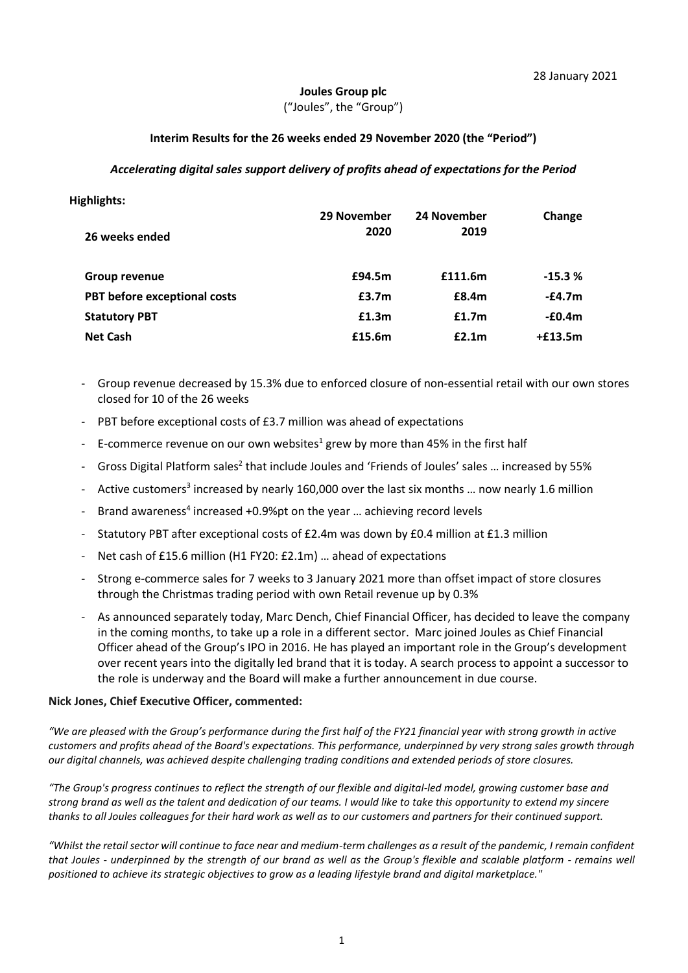# **Joules Group plc** ("Joules", the "Group")

# **Interim Results for the 26 weeks ended 29 November 2020 (the "Period")**

# *Accelerating digital sales support delivery of profits ahead of expectations for the Period*

# **Highlights:**

| 26 weeks ended               | 29 November<br>2020 | 24 November<br>2019 | Change    |
|------------------------------|---------------------|---------------------|-----------|
| <b>Group revenue</b>         | £94.5m              | £111.6m             | $-15.3%$  |
| PBT before exceptional costs | £3.7m               | £8.4m               | $-£4.7m$  |
| <b>Statutory PBT</b>         | £1.3m               | f1.7m               | -£0.4m    |
| <b>Net Cash</b>              | £15.6m              | E2.1m               | $+£13.5m$ |

- Group revenue decreased by 15.3% due to enforced closure of non-essential retail with our own stores closed for 10 of the 26 weeks
- PBT before exceptional costs of £3.7 million was ahead of expectations
- E-commerce revenue on our own websites<sup>1</sup> grew by more than 45% in the first half
- Gross Digital Platform sales<sup>2</sup> that include Joules and 'Friends of Joules' sales ... increased by 55%
- Active customers<sup>3</sup> increased by nearly 160,000 over the last six months ... now nearly 1.6 million
- Brand awareness<sup>4</sup> increased +0.9%pt on the year ... achieving record levels
- Statutory PBT after exceptional costs of £2.4m was down by £0.4 million at £1.3 million
- Net cash of £15.6 million (H1 FY20: £2.1m) ... ahead of expectations
- Strong e-commerce sales for 7 weeks to 3 January 2021 more than offset impact of store closures through the Christmas trading period with own Retail revenue up by 0.3%
- As announced separately today, Marc Dench, Chief Financial Officer, has decided to leave the company in the coming months, to take up a role in a different sector. Marc joined Joules as Chief Financial Officer ahead of the Group's IPO in 2016. He has played an important role in the Group's development over recent years into the digitally led brand that it is today. A search process to appoint a successor to the role is underway and the Board will make a further announcement in due course.

## **Nick Jones, Chief Executive Officer, commented:**

*"We are pleased with the Group's performance during the first half of the FY21 financial year with strong growth in active customers and profits ahead of the Board's expectations. This performance, underpinned by very strong sales growth through our digital channels, was achieved despite challenging trading conditions and extended periods of store closures.*

*"The Group's progress continues to reflect the strength of our flexible and digital-led model, growing customer base and strong brand as well as the talent and dedication of our teams. I would like to take this opportunity to extend my sincere thanks to all Joules colleagues for their hard work as well as to our customers and partners for their continued support.*

*"Whilst the retail sector will continue to face near and medium-term challenges as a result of the pandemic, I remain confident that Joules - underpinned by the strength of our brand as well as the Group's flexible and scalable platform - remains well positioned to achieve its strategic objectives to grow as a leading lifestyle brand and digital marketplace."*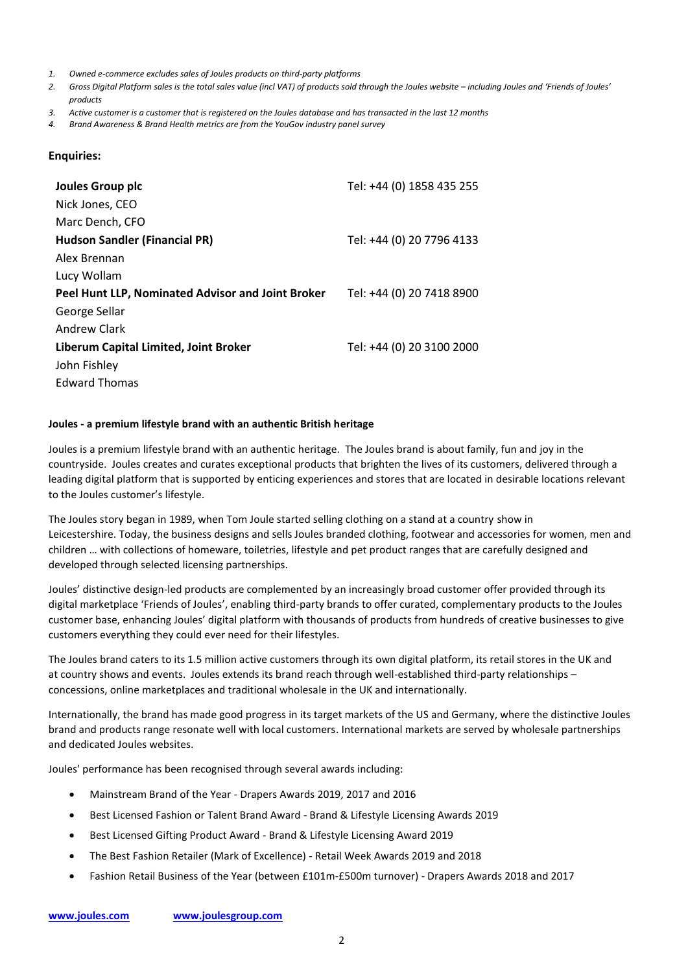- *1. Owned e-commerce excludes sales of Joules products on third-party platforms*
- 2. Gross Digital Platform sales is the total sales value (incl VAT) of products sold through the Joules website *including Joules and 'Friends of Joules' products*
- *3. Active customer is a customer that is registered on the Joules database and has transacted in the last 12 months*
- *4. Brand Awareness & Brand Health metrics are from the YouGov industry panel survey*

## **Enquiries:**

| Joules Group plc                                  | Tel: +44 (0) 1858 435 255 |
|---------------------------------------------------|---------------------------|
| Nick Jones, CEO                                   |                           |
| Marc Dench, CFO                                   |                           |
| <b>Hudson Sandler (Financial PR)</b>              | Tel: +44 (0) 20 7796 4133 |
| Alex Brennan                                      |                           |
| Lucy Wollam                                       |                           |
| Peel Hunt LLP, Nominated Advisor and Joint Broker | Tel: +44 (0) 20 7418 8900 |
| George Sellar                                     |                           |
| <b>Andrew Clark</b>                               |                           |
| Liberum Capital Limited, Joint Broker             | Tel: +44 (0) 20 3100 2000 |
| John Fishley                                      |                           |
| <b>Edward Thomas</b>                              |                           |

#### **Joules - a premium lifestyle brand with an authentic British heritage**

Joules is a premium lifestyle brand with an authentic heritage. The Joules brand is about family, fun and joy in the countryside. Joules creates and curates exceptional products that brighten the lives of its customers, delivered through a leading digital platform that is supported by enticing experiences and stores that are located in desirable locations relevant to the Joules customer's lifestyle.

The Joules story began in 1989, when Tom Joule started selling clothing on a stand at a country show in Leicestershire. Today, the business designs and sells Joules branded clothing, footwear and accessories for women, men and children … with collections of homeware, toiletries, lifestyle and pet product ranges that are carefully designed and developed through selected licensing partnerships.

Joules' distinctive design-led products are complemented by an increasingly broad customer offer provided through its digital marketplace 'Friends of Joules', enabling third-party brands to offer curated, complementary products to the Joules customer base, enhancing Joules' digital platform with thousands of products from hundreds of creative businesses to give customers everything they could ever need for their lifestyles.

The Joules brand caters to its 1.5 million active customers through its own digital platform, its retail stores in the UK and at country shows and events. Joules extends its brand reach through well-established third-party relationships – concessions, online marketplaces and traditional wholesale in the UK and internationally.

Internationally, the brand has made good progress in its target markets of the US and Germany, where the distinctive Joules brand and products range resonate well with local customers. International markets are served by wholesale partnerships and dedicated Joules websites.

Joules' performance has been recognised through several awards including:

- Mainstream Brand of the Year Drapers Awards 2019, 2017 and 2016
- Best Licensed Fashion or Talent Brand Award Brand & Lifestyle Licensing Awards 2019
- Best Licensed Gifting Product Award Brand & Lifestyle Licensing Award 2019
- The Best Fashion Retailer (Mark of Excellence) Retail Week Awards 2019 and 2018
- Fashion Retail Business of the Year (between £101m-£500m turnover) Drapers Awards 2018 and 2017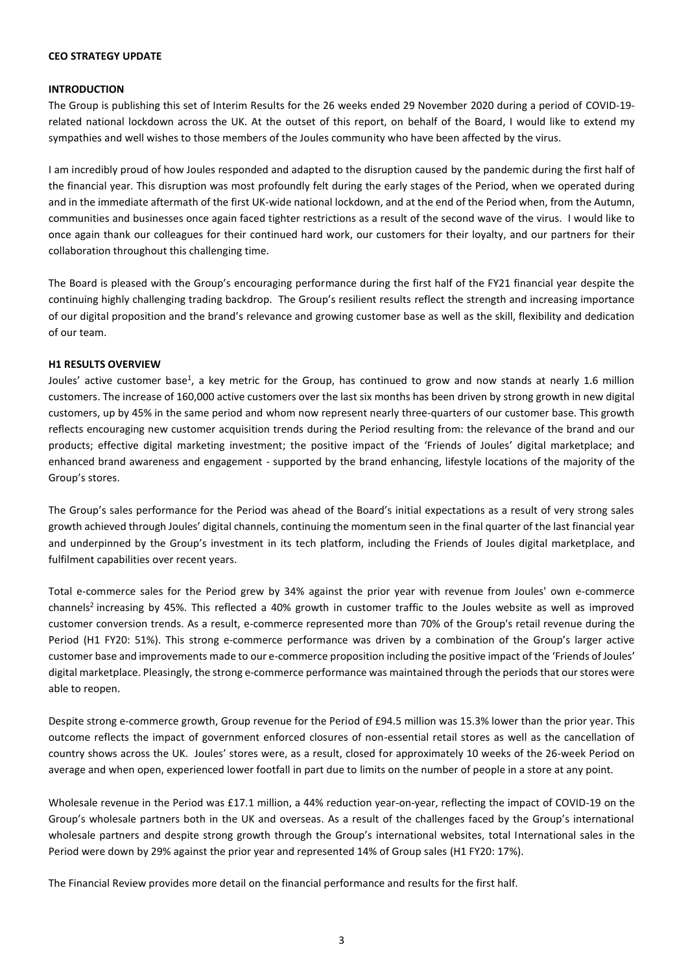#### **CEO STRATEGY UPDATE**

#### **INTRODUCTION**

The Group is publishing this set of Interim Results for the 26 weeks ended 29 November 2020 during a period of COVID-19 related national lockdown across the UK. At the outset of this report, on behalf of the Board, I would like to extend my sympathies and well wishes to those members of the Joules community who have been affected by the virus.

I am incredibly proud of how Joules responded and adapted to the disruption caused by the pandemic during the first half of the financial year. This disruption was most profoundly felt during the early stages of the Period, when we operated during and in the immediate aftermath of the first UK-wide national lockdown, and at the end of the Period when, from the Autumn, communities and businesses once again faced tighter restrictions as a result of the second wave of the virus. I would like to once again thank our colleagues for their continued hard work, our customers for their loyalty, and our partners for their collaboration throughout this challenging time.

The Board is pleased with the Group's encouraging performance during the first half of the FY21 financial year despite the continuing highly challenging trading backdrop. The Group's resilient results reflect the strength and increasing importance of our digital proposition and the brand's relevance and growing customer base as well as the skill, flexibility and dedication of our team.

#### **H1 RESULTS OVERVIEW**

Joules' active customer base<sup>1</sup>, a key metric for the Group, has continued to grow and now stands at nearly 1.6 million customers. The increase of 160,000 active customers over the last six months has been driven by strong growth in new digital customers, up by 45% in the same period and whom now represent nearly three-quarters of our customer base. This growth reflects encouraging new customer acquisition trends during the Period resulting from: the relevance of the brand and our products; effective digital marketing investment; the positive impact of the 'Friends of Joules' digital marketplace; and enhanced brand awareness and engagement - supported by the brand enhancing, lifestyle locations of the majority of the Group's stores.

The Group's sales performance for the Period was ahead of the Board's initial expectations as a result of very strong sales growth achieved through Joules' digital channels, continuing the momentum seen in the final quarter of the last financial year and underpinned by the Group's investment in its tech platform, including the Friends of Joules digital marketplace, and fulfilment capabilities over recent years.

Total e-commerce sales for the Period grew by 34% against the prior year with revenue from Joules' own e-commerce channels<sup>2</sup> increasing by 45%. This reflected a 40% growth in customer traffic to the Joules website as well as improved customer conversion trends. As a result, e-commerce represented more than 70% of the Group's retail revenue during the Period (H1 FY20: 51%). This strong e-commerce performance was driven by a combination of the Group's larger active customer base and improvements made to our e-commerce proposition including the positive impact of the 'Friends of Joules' digital marketplace. Pleasingly, the strong e-commerce performance was maintained through the periods that our stores were able to reopen.

Despite strong e-commerce growth, Group revenue for the Period of £94.5 million was 15.3% lower than the prior year. This outcome reflects the impact of government enforced closures of non-essential retail stores as well as the cancellation of country shows across the UK. Joules' stores were, as a result, closed for approximately 10 weeks of the 26-week Period on average and when open, experienced lower footfall in part due to limits on the number of people in a store at any point.

Wholesale revenue in the Period was £17.1 million, a 44% reduction year-on-year, reflecting the impact of COVID-19 on the Group's wholesale partners both in the UK and overseas. As a result of the challenges faced by the Group's international wholesale partners and despite strong growth through the Group's international websites, total International sales in the Period were down by 29% against the prior year and represented 14% of Group sales (H1 FY20: 17%).

The Financial Review provides more detail on the financial performance and results for the first half.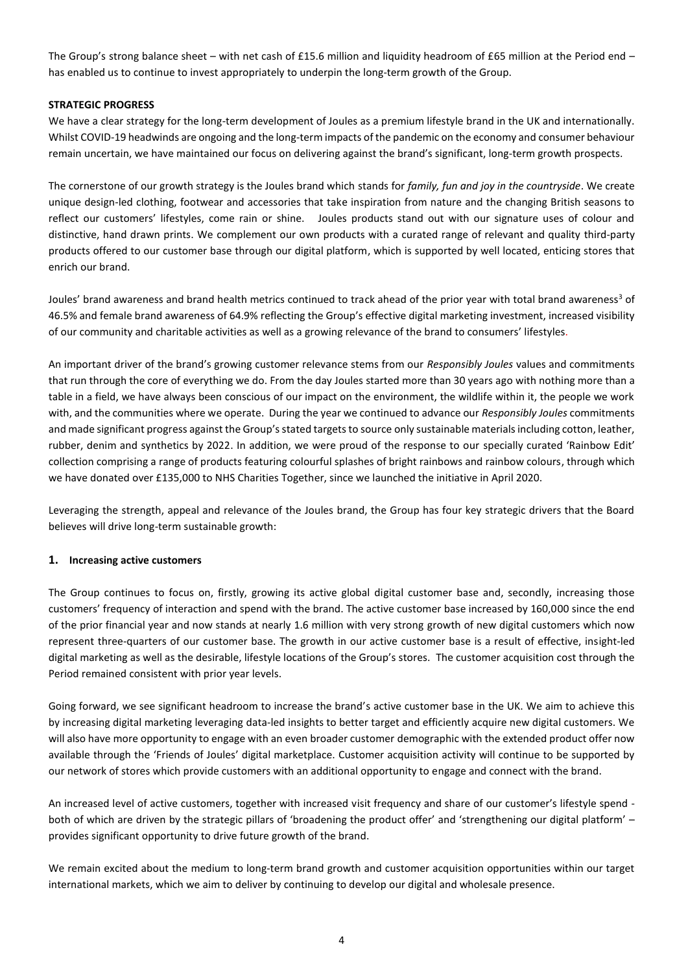The Group's strong balance sheet – with net cash of £15.6 million and liquidity headroom of £65 million at the Period end – has enabled us to continue to invest appropriately to underpin the long-term growth of the Group.

## **STRATEGIC PROGRESS**

We have a clear strategy for the long-term development of Joules as a premium lifestyle brand in the UK and internationally. Whilst COVID-19 headwinds are ongoing and the long-term impacts of the pandemic on the economy and consumer behaviour remain uncertain, we have maintained our focus on delivering against the brand's significant, long-term growth prospects.

The cornerstone of our growth strategy is the Joules brand which stands for *family, fun and joy in the countryside*. We create unique design-led clothing, footwear and accessories that take inspiration from nature and the changing British seasons to reflect our customers' lifestyles, come rain or shine. Joules products stand out with our signature uses of colour and distinctive, hand drawn prints. We complement our own products with a curated range of relevant and quality third-party products offered to our customer base through our digital platform, which is supported by well located, enticing stores that enrich our brand.

Joules' brand awareness and brand health metrics continued to track ahead of the prior year with total brand awareness<sup>3</sup> of 46.5% and female brand awareness of 64.9% reflecting the Group's effective digital marketing investment, increased visibility of our community and charitable activities as well as a growing relevance of the brand to consumers' lifestyles.

An important driver of the brand's growing customer relevance stems from our *Responsibly Joules* values and commitments that run through the core of everything we do. From the day Joules started more than 30 years ago with nothing more than a table in a field, we have always been conscious of our impact on the environment, the wildlife within it, the people we work with, and the communities where we operate. During the year we continued to advance our *Responsibly Joules* commitments and made significant progress against the Group's stated targets to source only sustainable materials including cotton, leather, rubber, denim and synthetics by 2022. In addition, we were proud of the response to our specially curated 'Rainbow Edit' collection comprising a range of products featuring colourful splashes of bright rainbows and rainbow colours, through which we have donated over £135,000 to NHS Charities Together, since we launched the initiative in April 2020.

Leveraging the strength, appeal and relevance of the Joules brand, the Group has four key strategic drivers that the Board believes will drive long-term sustainable growth:

## **1. Increasing active customers**

The Group continues to focus on, firstly, growing its active global digital customer base and, secondly, increasing those customers' frequency of interaction and spend with the brand. The active customer base increased by 160,000 since the end of the prior financial year and now stands at nearly 1.6 million with very strong growth of new digital customers which now represent three-quarters of our customer base. The growth in our active customer base is a result of effective, insight-led digital marketing as well as the desirable, lifestyle locations of the Group's stores. The customer acquisition cost through the Period remained consistent with prior year levels.

Going forward, we see significant headroom to increase the brand's active customer base in the UK. We aim to achieve this by increasing digital marketing leveraging data-led insights to better target and efficiently acquire new digital customers. We will also have more opportunity to engage with an even broader customer demographic with the extended product offer now available through the 'Friends of Joules' digital marketplace. Customer acquisition activity will continue to be supported by our network of stores which provide customers with an additional opportunity to engage and connect with the brand.

An increased level of active customers, together with increased visit frequency and share of our customer's lifestyle spend both of which are driven by the strategic pillars of 'broadening the product offer' and 'strengthening our digital platform' – provides significant opportunity to drive future growth of the brand.

We remain excited about the medium to long-term brand growth and customer acquisition opportunities within our target international markets, which we aim to deliver by continuing to develop our digital and wholesale presence.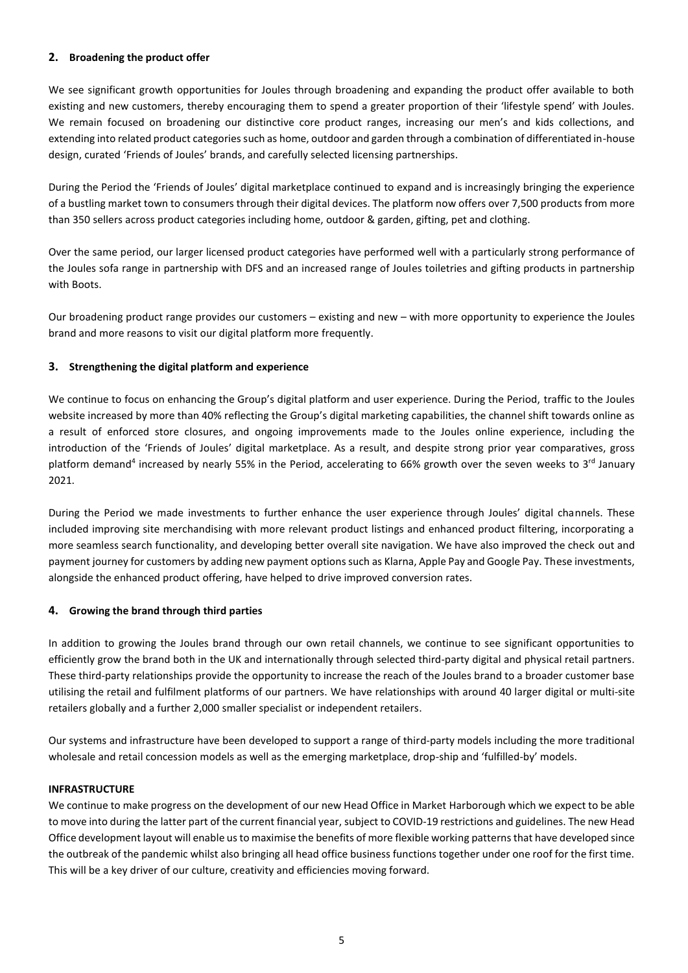# **2. Broadening the product offer**

We see significant growth opportunities for Joules through broadening and expanding the product offer available to both existing and new customers, thereby encouraging them to spend a greater proportion of their 'lifestyle spend' with Joules. We remain focused on broadening our distinctive core product ranges, increasing our men's and kids collections, and extending into related product categories such as home, outdoor and garden through a combination of differentiated in-house design, curated 'Friends of Joules' brands, and carefully selected licensing partnerships.

During the Period the 'Friends of Joules' digital marketplace continued to expand and is increasingly bringing the experience of a bustling market town to consumers through their digital devices. The platform now offers over 7,500 products from more than 350 sellers across product categories including home, outdoor & garden, gifting, pet and clothing.

Over the same period, our larger licensed product categories have performed well with a particularly strong performance of the Joules sofa range in partnership with DFS and an increased range of Joules toiletries and gifting products in partnership with Boots.

Our broadening product range provides our customers – existing and new – with more opportunity to experience the Joules brand and more reasons to visit our digital platform more frequently.

# **3. Strengthening the digital platform and experience**

We continue to focus on enhancing the Group's digital platform and user experience. During the Period, traffic to the Joules website increased by more than 40% reflecting the Group's digital marketing capabilities, the channel shift towards online as a result of enforced store closures, and ongoing improvements made to the Joules online experience, including the introduction of the 'Friends of Joules' digital marketplace. As a result, and despite strong prior year comparatives, gross platform demand<sup>4</sup> increased by nearly 55% in the Period, accelerating to 66% growth over the seven weeks to 3<sup>rd</sup> January 2021.

During the Period we made investments to further enhance the user experience through Joules' digital channels. These included improving site merchandising with more relevant product listings and enhanced product filtering, incorporating a more seamless search functionality, and developing better overall site navigation. We have also improved the check out and payment journey for customers by adding new payment options such as Klarna, Apple Pay and Google Pay. These investments, alongside the enhanced product offering, have helped to drive improved conversion rates.

## **4. Growing the brand through third parties**

In addition to growing the Joules brand through our own retail channels, we continue to see significant opportunities to efficiently grow the brand both in the UK and internationally through selected third-party digital and physical retail partners. These third-party relationships provide the opportunity to increase the reach of the Joules brand to a broader customer base utilising the retail and fulfilment platforms of our partners. We have relationships with around 40 larger digital or multi-site retailers globally and a further 2,000 smaller specialist or independent retailers.

Our systems and infrastructure have been developed to support a range of third-party models including the more traditional wholesale and retail concession models as well as the emerging marketplace, drop-ship and 'fulfilled-by' models.

## **INFRASTRUCTURE**

We continue to make progress on the development of our new Head Office in Market Harborough which we expect to be able to move into during the latter part of the current financial year, subject to COVID-19 restrictions and guidelines. The new Head Office development layout will enable us to maximise the benefits of more flexible working patterns that have developed since the outbreak of the pandemic whilst also bringing all head office business functions together under one roof for the first time. This will be a key driver of our culture, creativity and efficiencies moving forward.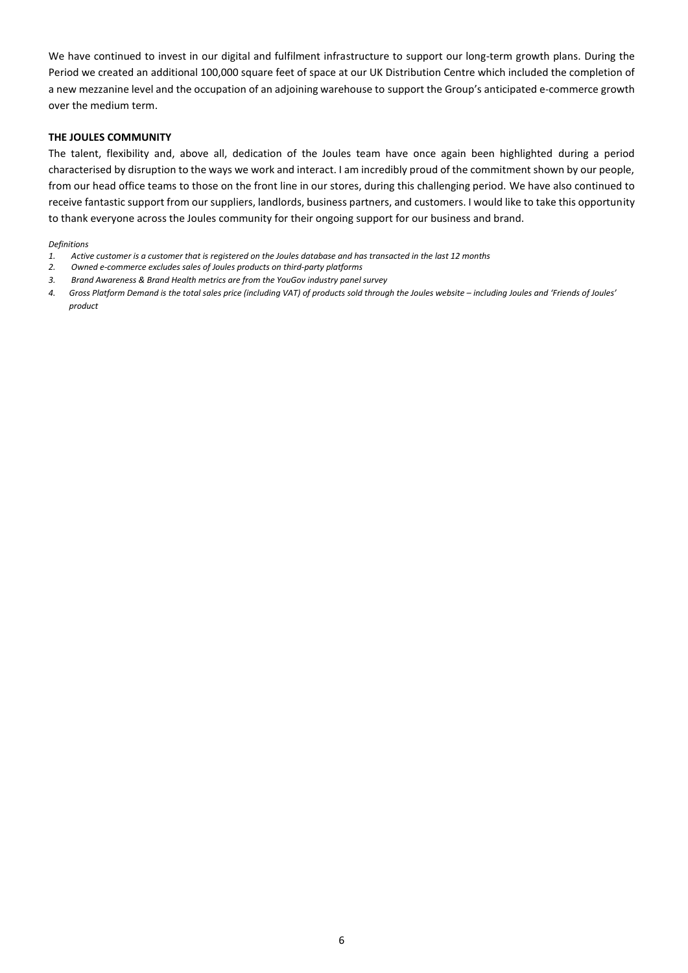We have continued to invest in our digital and fulfilment infrastructure to support our long-term growth plans. During the Period we created an additional 100,000 square feet of space at our UK Distribution Centre which included the completion of a new mezzanine level and the occupation of an adjoining warehouse to support the Group's anticipated e-commerce growth over the medium term.

#### **THE JOULES COMMUNITY**

The talent, flexibility and, above all, dedication of the Joules team have once again been highlighted during a period characterised by disruption to the ways we work and interact. I am incredibly proud of the commitment shown by our people, from our head office teams to those on the front line in our stores, during this challenging period. We have also continued to receive fantastic support from our suppliers, landlords, business partners, and customers. I would like to take this opportunity to thank everyone across the Joules community for their ongoing support for our business and brand.

#### *Definitions*

- *1. Active customer is a customer that is registered on the Joules database and has transacted in the last 12 months*
- *2. Owned e-commerce excludes sales of Joules products on third-party platforms*
- *3. Brand Awareness & Brand Health metrics are from the YouGov industry panel survey*
- 4. Gross Platform Demand is the total sales price (including VAT) of products sold through the Joules website including Joules and 'Friends of Joules' *product*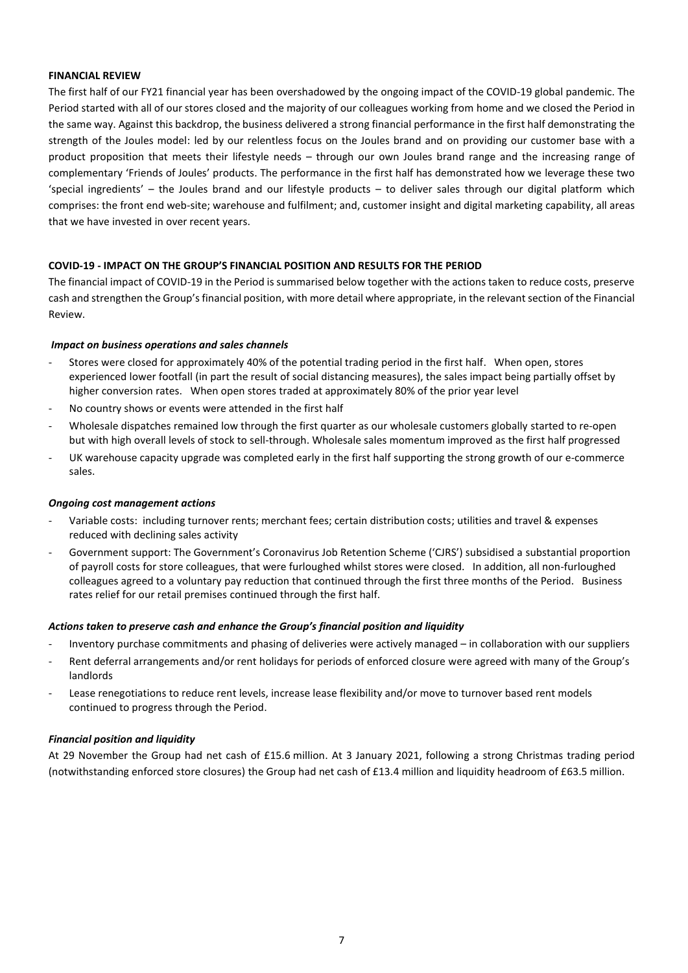## **FINANCIAL REVIEW**

The first half of our FY21 financial year has been overshadowed by the ongoing impact of the COVID-19 global pandemic. The Period started with all of our stores closed and the majority of our colleagues working from home and we closed the Period in the same way. Against this backdrop, the business delivered a strong financial performance in the first half demonstrating the strength of the Joules model: led by our relentless focus on the Joules brand and on providing our customer base with a product proposition that meets their lifestyle needs – through our own Joules brand range and the increasing range of complementary 'Friends of Joules' products. The performance in the first half has demonstrated how we leverage these two 'special ingredients' – the Joules brand and our lifestyle products – to deliver sales through our digital platform which comprises: the front end web-site; warehouse and fulfilment; and, customer insight and digital marketing capability, all areas that we have invested in over recent years.

# **COVID-19 - IMPACT ON THE GROUP'S FINANCIAL POSITION AND RESULTS FOR THE PERIOD**

The financial impact of COVID-19 in the Period is summarised below together with the actions taken to reduce costs, preserve cash and strengthen the Group's financial position, with more detail where appropriate, in the relevant section of the Financial Review.

## *Impact on business operations and sales channels*

- Stores were closed for approximately 40% of the potential trading period in the first half. When open, stores experienced lower footfall (in part the result of social distancing measures), the sales impact being partially offset by higher conversion rates. When open stores traded at approximately 80% of the prior year level
- No country shows or events were attended in the first half
- Wholesale dispatches remained low through the first quarter as our wholesale customers globally started to re-open but with high overall levels of stock to sell-through. Wholesale sales momentum improved as the first half progressed
- UK warehouse capacity upgrade was completed early in the first half supporting the strong growth of our e-commerce sales.

## *Ongoing cost management actions*

- Variable costs: including turnover rents; merchant fees; certain distribution costs; utilities and travel & expenses reduced with declining sales activity
- Government support: The Government's Coronavirus Job Retention Scheme ('CJRS') subsidised a substantial proportion of payroll costs for store colleagues, that were furloughed whilst stores were closed. In addition, all non-furloughed colleagues agreed to a voluntary pay reduction that continued through the first three months of the Period. Business rates relief for our retail premises continued through the first half.

## *Actions taken to preserve cash and enhance the Group's financial position and liquidity*

- Inventory purchase commitments and phasing of deliveries were actively managed in collaboration with our suppliers
- Rent deferral arrangements and/or rent holidays for periods of enforced closure were agreed with many of the Group's landlords
- Lease renegotiations to reduce rent levels, increase lease flexibility and/or move to turnover based rent models continued to progress through the Period.

## *Financial position and liquidity*

At 29 November the Group had net cash of £15.6 million. At 3 January 2021, following a strong Christmas trading period (notwithstanding enforced store closures) the Group had net cash of £13.4 million and liquidity headroom of £63.5 million.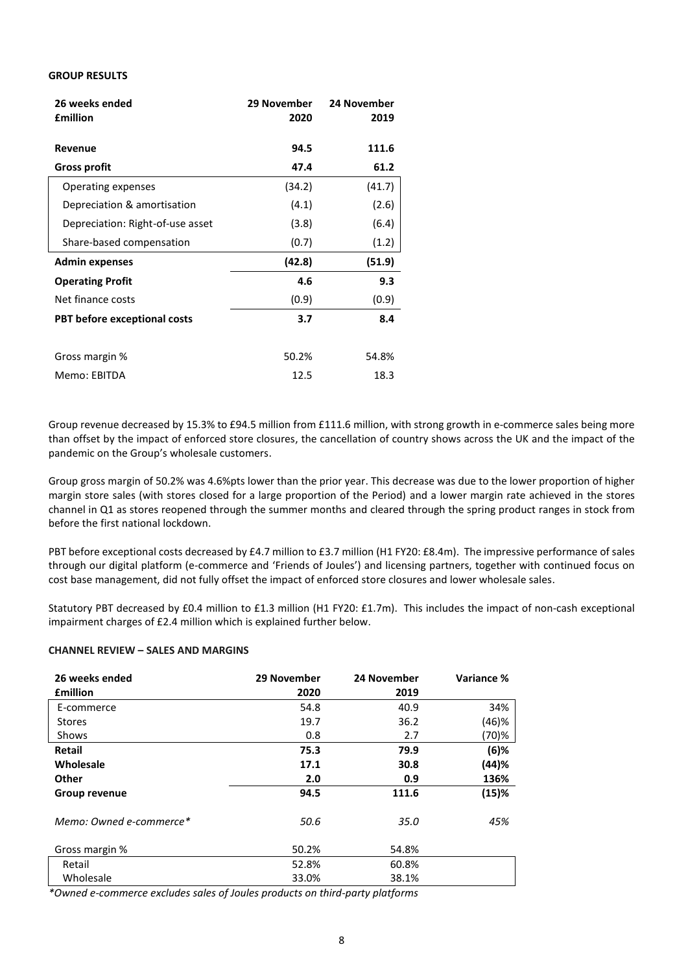#### **GROUP RESULTS**

| 26 weeks ended<br><b>£million</b>   | 29 November<br>2020 | 24 November<br>2019 |
|-------------------------------------|---------------------|---------------------|
| Revenue                             | 94.5                | 111.6               |
| <b>Gross profit</b>                 | 47.4                | 61.2                |
| Operating expenses                  | (34.2)              | (41.7)              |
| Depreciation & amortisation         | (4.1)               | (2.6)               |
| Depreciation: Right-of-use asset    | (3.8)               | (6.4)               |
| Share-based compensation            | (0.7)               | (1.2)               |
| <b>Admin expenses</b>               | (42.8)              | (51.9)              |
| <b>Operating Profit</b>             | 4.6                 | 9.3                 |
| Net finance costs                   | (0.9)               | (0.9)               |
| <b>PBT</b> before exceptional costs | 3.7                 | 8.4                 |
| Gross margin %                      | 50.2%               | 54.8%               |
| Memo: EBITDA                        | 12.5                | 18.3                |

Group revenue decreased by 15.3% to £94.5 million from £111.6 million, with strong growth in e-commerce sales being more than offset by the impact of enforced store closures, the cancellation of country shows across the UK and the impact of the pandemic on the Group's wholesale customers.

Group gross margin of 50.2% was 4.6%pts lower than the prior year. This decrease was due to the lower proportion of higher margin store sales (with stores closed for a large proportion of the Period) and a lower margin rate achieved in the stores channel in Q1 as stores reopened through the summer months and cleared through the spring product ranges in stock from before the first national lockdown.

PBT before exceptional costs decreased by £4.7 million to £3.7 million (H1 FY20: £8.4m). The impressive performance of sales through our digital platform (e-commerce and 'Friends of Joules') and licensing partners, together with continued focus on cost base management, did not fully offset the impact of enforced store closures and lower wholesale sales.

Statutory PBT decreased by £0.4 million to £1.3 million (H1 FY20: £1.7m). This includes the impact of non-cash exceptional impairment charges of £2.4 million which is explained further below.

# **CHANNEL REVIEW – SALES AND MARGINS**

| 26 weeks ended<br><b>fmillion</b> | 29 November<br>2020 | 24 November<br>2019 | Variance % |
|-----------------------------------|---------------------|---------------------|------------|
| E-commerce                        | 54.8                | 40.9                | 34%        |
| <b>Stores</b>                     | 19.7                | 36.2                | (46)%      |
| Shows                             | 0.8                 | 2.7                 | (70)%      |
| Retail                            | 75.3                | 79.9                | $(6)$ %    |
| Wholesale                         | 17.1                | 30.8                | (44)%      |
| <b>Other</b>                      | 2.0                 | 0.9                 | 136%       |
| <b>Group revenue</b>              | 94.5                | 111.6               | (15)%      |
| Memo: Owned e-commerce*           | 50.6                | 35.O                | 45%        |
| Gross margin %                    | 50.2%               | 54.8%               |            |
| Retail                            | 52.8%               | 60.8%               |            |
| Wholesale                         | 33.0%               | 38.1%               |            |

*\*Owned e-commerce excludes sales of Joules products on third-party platforms*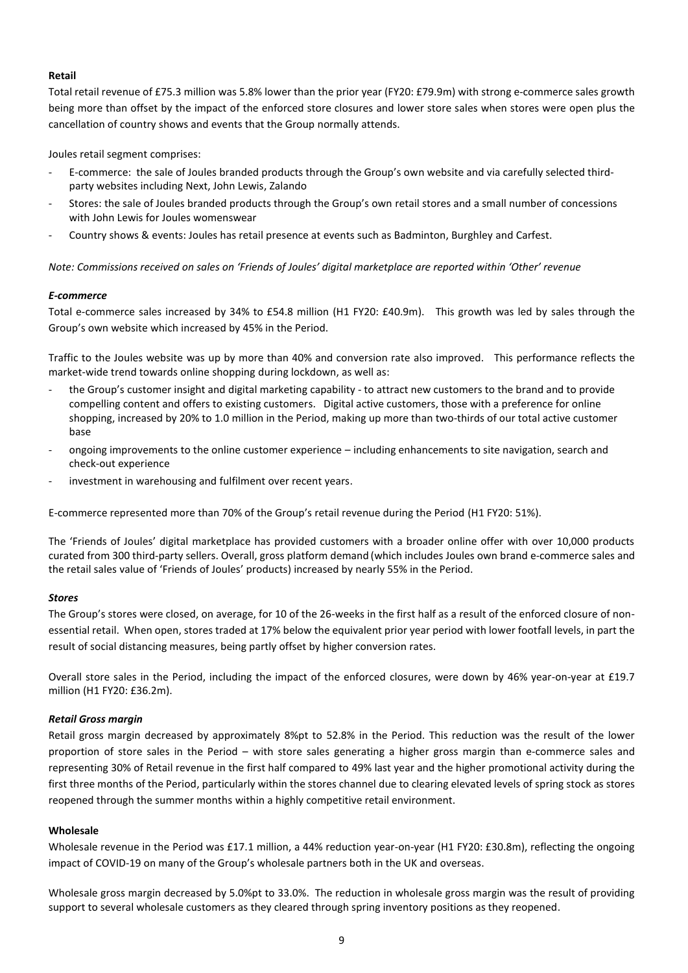# **Retail**

Total retail revenue of £75.3 million was 5.8% lower than the prior year (FY20: £79.9m) with strong e-commerce sales growth being more than offset by the impact of the enforced store closures and lower store sales when stores were open plus the cancellation of country shows and events that the Group normally attends.

Joules retail segment comprises:

- E-commerce: the sale of Joules branded products through the Group's own website and via carefully selected thirdparty websites including Next, John Lewis, Zalando
- Stores: the sale of Joules branded products through the Group's own retail stores and a small number of concessions with John Lewis for Joules womenswear
- Country shows & events: Joules has retail presence at events such as Badminton, Burghley and Carfest.

## *Note: Commissions received on sales on 'Friends of Joules' digital marketplace are reported within 'Other' revenue*

# *E-commerce*

Total e-commerce sales increased by 34% to £54.8 million (H1 FY20: £40.9m). This growth was led by sales through the Group's own website which increased by 45% in the Period.

Traffic to the Joules website was up by more than 40% and conversion rate also improved. This performance reflects the market-wide trend towards online shopping during lockdown, as well as:

- the Group's customer insight and digital marketing capability to attract new customers to the brand and to provide compelling content and offers to existing customers. Digital active customers, those with a preference for online shopping, increased by 20% to 1.0 million in the Period, making up more than two-thirds of our total active customer base
- ongoing improvements to the online customer experience including enhancements to site navigation, search and check-out experience
- investment in warehousing and fulfilment over recent years.

E-commerce represented more than 70% of the Group's retail revenue during the Period (H1 FY20: 51%).

The 'Friends of Joules' digital marketplace has provided customers with a broader online offer with over 10,000 products curated from 300 third-party sellers. Overall, gross platform demand (which includes Joules own brand e-commerce sales and the retail sales value of 'Friends of Joules' products) increased by nearly 55% in the Period.

## *Stores*

The Group's stores were closed, on average, for 10 of the 26-weeks in the first half as a result of the enforced closure of nonessential retail. When open, stores traded at 17% below the equivalent prior year period with lower footfall levels, in part the result of social distancing measures, being partly offset by higher conversion rates.

Overall store sales in the Period, including the impact of the enforced closures, were down by 46% year-on-year at £19.7 million (H1 FY20: £36.2m).

## *Retail Gross margin*

Retail gross margin decreased by approximately 8%pt to 52.8% in the Period. This reduction was the result of the lower proportion of store sales in the Period – with store sales generating a higher gross margin than e-commerce sales and representing 30% of Retail revenue in the first half compared to 49% last year and the higher promotional activity during the first three months of the Period, particularly within the stores channel due to clearing elevated levels of spring stock as stores reopened through the summer months within a highly competitive retail environment.

# **Wholesale**

Wholesale revenue in the Period was £17.1 million, a 44% reduction year-on-year (H1 FY20: £30.8m), reflecting the ongoing impact of COVID-19 on many of the Group's wholesale partners both in the UK and overseas.

Wholesale gross margin decreased by 5.0%pt to 33.0%. The reduction in wholesale gross margin was the result of providing support to several wholesale customers as they cleared through spring inventory positions as they reopened.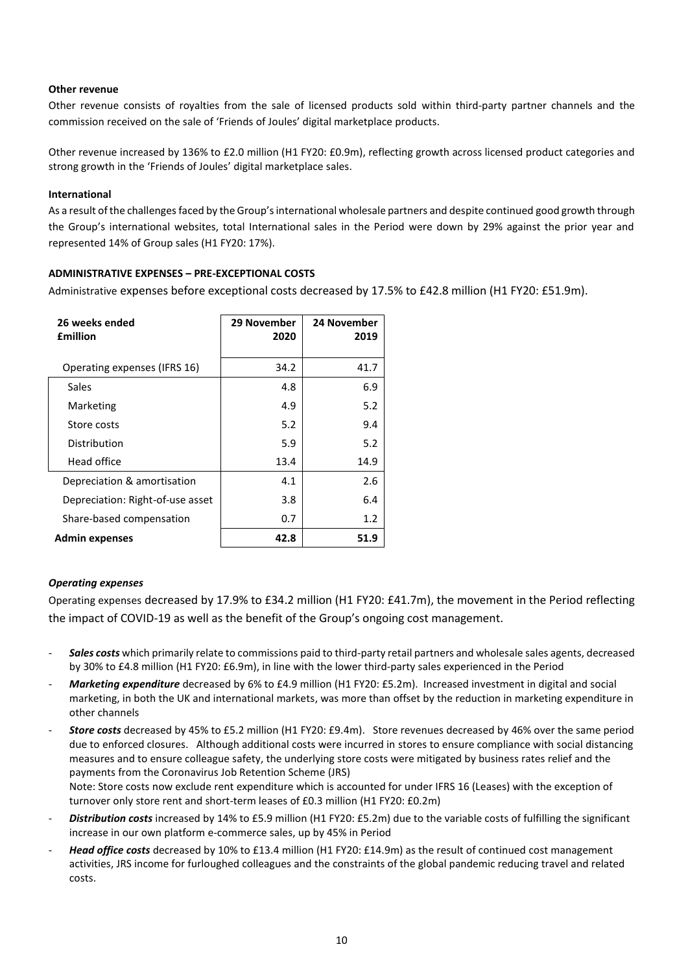## **Other revenue**

Other revenue consists of royalties from the sale of licensed products sold within third-party partner channels and the commission received on the sale of 'Friends of Joules' digital marketplace products.

Other revenue increased by 136% to £2.0 million (H1 FY20: £0.9m), reflecting growth across licensed product categories and strong growth in the 'Friends of Joules' digital marketplace sales.

## **International**

As a result ofthe challenges faced by the Group's international wholesale partners and despite continued good growth through the Group's international websites, total International sales in the Period were down by 29% against the prior year and represented 14% of Group sales (H1 FY20: 17%).

## **ADMINISTRATIVE EXPENSES – PRE-EXCEPTIONAL COSTS**

Administrative expenses before exceptional costs decreased by 17.5% to £42.8 million (H1 FY20: £51.9m).

| 26 weeks ended<br><b>£million</b> | 29 November<br>2020 | 24 November<br>2019 |
|-----------------------------------|---------------------|---------------------|
| Operating expenses (IFRS 16)      | 34.2                | 41.7                |
| Sales                             | 4.8                 | 6.9                 |
| Marketing                         | 4.9                 | 5.2                 |
| Store costs                       | 5.2                 | 9.4                 |
| Distribution                      | 5.9                 | 5.2                 |
| Head office                       | 13.4                | 14.9                |
| Depreciation & amortisation       | 4.1                 | 2.6                 |
| Depreciation: Right-of-use asset  | 3.8                 | 6.4                 |
| Share-based compensation          | 0.7                 | 1.2                 |
| <b>Admin expenses</b>             | 42.8                | 51.9                |

## *Operating expenses*

Operating expenses decreased by 17.9% to £34.2 million (H1 FY20: £41.7m), the movement in the Period reflecting the impact of COVID-19 as well as the benefit of the Group's ongoing cost management.

- *Sales costs* which primarily relate to commissions paid to third-party retail partners and wholesale sales agents, decreased by 30% to £4.8 million (H1 FY20: £6.9m), in line with the lower third-party sales experienced in the Period
- *Marketing expenditure* decreased by 6% to £4.9 million (H1 FY20: £5.2m). Increased investment in digital and social marketing, in both the UK and international markets, was more than offset by the reduction in marketing expenditure in other channels
- *Store costs* decreased by 45% to £5.2 million (H1 FY20: £9.4m). Store revenues decreased by 46% over the same period due to enforced closures. Although additional costs were incurred in stores to ensure compliance with social distancing measures and to ensure colleague safety, the underlying store costs were mitigated by business rates relief and the payments from the Coronavirus Job Retention Scheme (JRS) Note: Store costs now exclude rent expenditure which is accounted for under IFRS 16 (Leases) with the exception of turnover only store rent and short-term leases of £0.3 million (H1 FY20: £0.2m)
- Distribution costs increased by 14% to £5.9 million (H1 FY20: £5.2m) due to the variable costs of fulfilling the significant increase in our own platform e-commerce sales, up by 45% in Period
- *Head office costs* decreased by 10% to £13.4 million (H1 FY20: £14.9m) as the result of continued cost management activities, JRS income for furloughed colleagues and the constraints of the global pandemic reducing travel and related costs.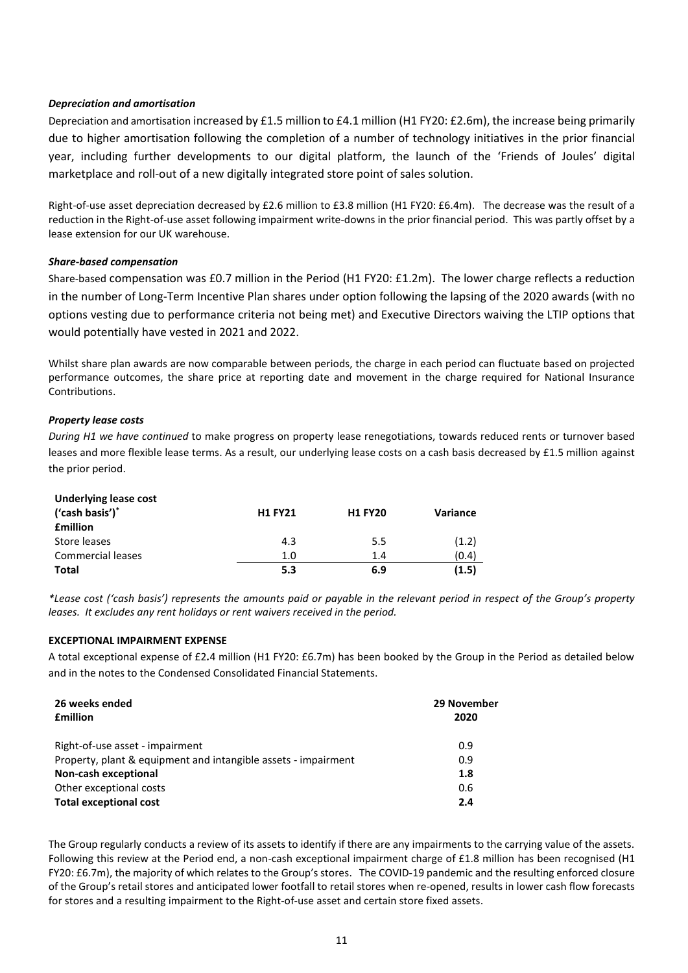# *Depreciation and amortisation*

Depreciation and amortisation increased by £1.5 million to £4.1 million (H1 FY20: £2.6m), the increase being primarily due to higher amortisation following the completion of a number of technology initiatives in the prior financial year, including further developments to our digital platform, the launch of the 'Friends of Joules' digital marketplace and roll-out of a new digitally integrated store point of sales solution.

Right-of-use asset depreciation decreased by £2.6 million to £3.8 million (H1 FY20: £6.4m). The decrease was the result of a reduction in the Right-of-use asset following impairment write-downs in the prior financial period. This was partly offset by a lease extension for our UK warehouse.

## *Share-based compensation*

Share-based compensation was £0.7 million in the Period (H1 FY20: £1.2m). The lower charge reflects a reduction in the number of Long-Term Incentive Plan shares under option following the lapsing of the 2020 awards (with no options vesting due to performance criteria not being met) and Executive Directors waiving the LTIP options that would potentially have vested in 2021 and 2022.

Whilst share plan awards are now comparable between periods, the charge in each period can fluctuate based on projected performance outcomes, the share price at reporting date and movement in the charge required for National Insurance Contributions.

# *Property lease costs*

*During H1 we have continued* to make progress on property lease renegotiations, towards reduced rents or turnover based leases and more flexible lease terms. As a result, our underlying lease costs on a cash basis decreased by £1.5 million against the prior period.

| <b>Underlying lease cost</b> |                |                |          |
|------------------------------|----------------|----------------|----------|
| ('cash basis')*              | <b>H1 FY21</b> | <b>H1 FY20</b> | Variance |
| <b>fmillion</b>              |                |                |          |
| Store leases                 | 4.3            | 5.5            | (1.2)    |
| <b>Commercial leases</b>     | 1.0            | 1.4            | (0.4)    |
| Total                        | 5.3            | 6.9            | (1.5)    |

*\*Lease cost ('cash basis') represents the amounts paid or payable in the relevant period in respect of the Group's property leases. It excludes any rent holidays or rent waivers received in the period.*

## **EXCEPTIONAL IMPAIRMENT EXPENSE**

A total exceptional expense of £2*.*4 million (H1 FY20: £6.7m) has been booked by the Group in the Period as detailed below and in the notes to the Condensed Consolidated Financial Statements.

| 26 weeks ended<br><b>f</b> million                             | 29 November<br>2020 |
|----------------------------------------------------------------|---------------------|
| Right-of-use asset - impairment                                | 0.9                 |
| Property, plant & equipment and intangible assets - impairment | 0.9                 |
| <b>Non-cash exceptional</b>                                    | 1.8                 |
| Other exceptional costs                                        | 0.6                 |
| <b>Total exceptional cost</b>                                  | 2.4                 |

The Group regularly conducts a review of its assets to identify if there are any impairments to the carrying value of the assets. Following this review at the Period end, a non-cash exceptional impairment charge of £1.8 million has been recognised (H1 FY20: £6.7m), the majority of which relates to the Group's stores. The COVID-19 pandemic and the resulting enforced closure of the Group's retail stores and anticipated lower footfall to retail stores when re-opened, results in lower cash flow forecasts for stores and a resulting impairment to the Right-of-use asset and certain store fixed assets.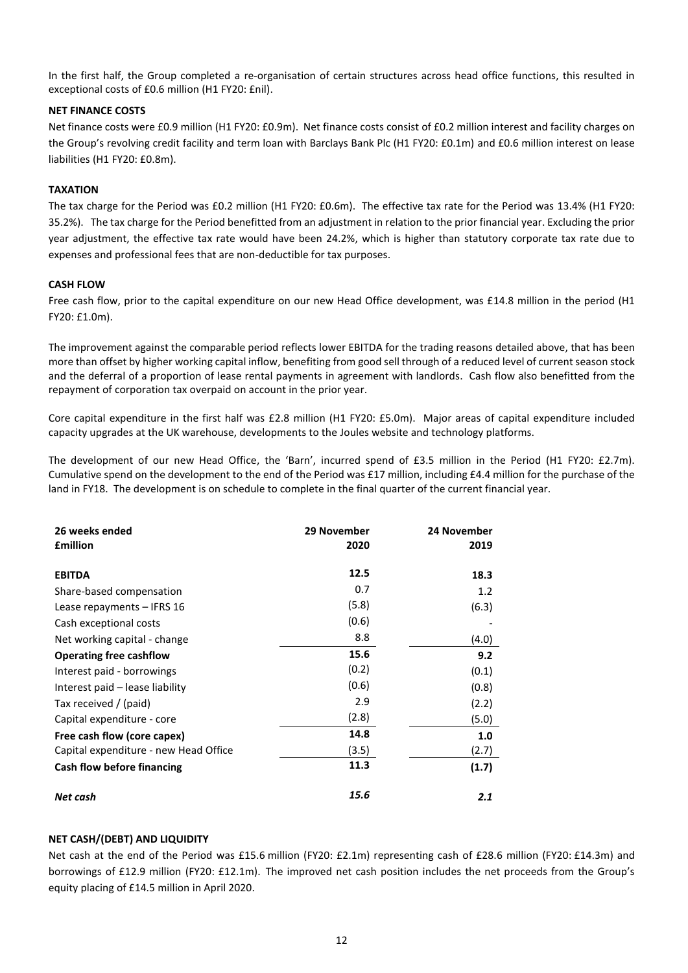In the first half, the Group completed a re-organisation of certain structures across head office functions, this resulted in exceptional costs of £0.6 million (H1 FY20: £nil).

#### **NET FINANCE COSTS**

Net finance costs were £0.9 million (H1 FY20: £0.9m). Net finance costs consist of £0.2 million interest and facility charges on the Group's revolving credit facility and term loan with Barclays Bank Plc (H1 FY20: £0.1m) and £0.6 million interest on lease liabilities (H1 FY20: £0.8m).

## **TAXATION**

The tax charge for the Period was £0.2 million (H1 FY20: £0.6m). The effective tax rate for the Period was 13.4% (H1 FY20: 35.2%). The tax charge for the Period benefitted from an adjustment in relation to the prior financial year. Excluding the prior year adjustment, the effective tax rate would have been 24.2%, which is higher than statutory corporate tax rate due to expenses and professional fees that are non-deductible for tax purposes.

## **CASH FLOW**

Free cash flow, prior to the capital expenditure on our new Head Office development, was £14.8 million in the period (H1 FY20: £1.0m).

The improvement against the comparable period reflects lower EBITDA for the trading reasons detailed above, that has been more than offset by higher working capital inflow, benefiting from good sell through of a reduced level of current season stock and the deferral of a proportion of lease rental payments in agreement with landlords. Cash flow also benefitted from the repayment of corporation tax overpaid on account in the prior year.

Core capital expenditure in the first half was £2.8 million (H1 FY20: £5.0m). Major areas of capital expenditure included capacity upgrades at the UK warehouse, developments to the Joules website and technology platforms.

The development of our new Head Office, the 'Barn', incurred spend of £3.5 million in the Period (H1 FY20: £2.7m). Cumulative spend on the development to the end of the Period was £17 million, including £4.4 million for the purchase of the land in FY18. The development is on schedule to complete in the final quarter of the current financial year.

| 26 weeks ended<br><b>fmillion</b>     | 29 November<br>2020 | 24 November<br>2019 |
|---------------------------------------|---------------------|---------------------|
| <b>EBITDA</b>                         | 12.5                | 18.3                |
| Share-based compensation              | 0.7                 | 1.2                 |
| Lease repayments - IFRS 16            | (5.8)               | (6.3)               |
| Cash exceptional costs                | (0.6)               |                     |
| Net working capital - change          | 8.8                 | (4.0)               |
| <b>Operating free cashflow</b>        | 15.6                | 9.2                 |
| Interest paid - borrowings            | (0.2)               | (0.1)               |
| Interest paid - lease liability       | (0.6)               | (0.8)               |
| Tax received / (paid)                 | 2.9                 | (2.2)               |
| Capital expenditure - core            | (2.8)               | (5.0)               |
| Free cash flow (core capex)           | 14.8                | 1.0                 |
| Capital expenditure - new Head Office | (3.5)               | (2.7)               |
| Cash flow before financing            | 11.3                | (1.7)               |
| Net cash                              | 15.6                | 2.1                 |

## **NET CASH/(DEBT) AND LIQUIDITY**

Net cash at the end of the Period was £15.6 million (FY20: £2.1m) representing cash of £28.6 million (FY20: £14.3m) and borrowings of £12.9 million (FY20: £12.1m). The improved net cash position includes the net proceeds from the Group's equity placing of £14.5 million in April 2020.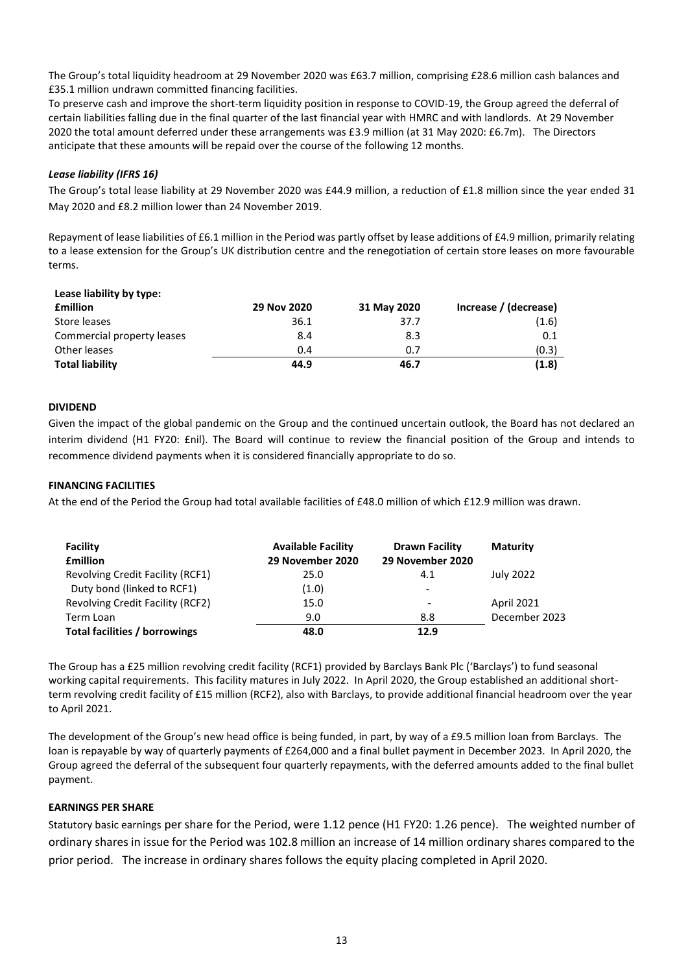The Group's total liquidity headroom at 29 November 2020 was £63.7 million, comprising £28.6 million cash balances and £35.1 million undrawn committed financing facilities.

To preserve cash and improve the short-term liquidity position in response to COVID-19, the Group agreed the deferral of certain liabilities falling due in the final quarter of the last financial year with HMRC and with landlords. At 29 November 2020 the total amount deferred under these arrangements was £3.9 million (at 31 May 2020: £6.7m). The Directors anticipate that these amounts will be repaid over the course of the following 12 months.

# *Lease liability (IFRS 16)*

The Group's total lease liability at 29 November 2020 was £44.9 million, a reduction of £1.8 million since the year ended 31 May 2020 and £8.2 million lower than 24 November 2019.

Repayment of lease liabilities of £6.1 million in the Period was partly offset by lease additions of £4.9 million, primarily relating to a lease extension for the Group's UK distribution centre and the renegotiation of certain store leases on more favourable terms.

| Lease liability by type:   |             |             |                       |
|----------------------------|-------------|-------------|-----------------------|
| <b>£million</b>            | 29 Nov 2020 | 31 May 2020 | Increase / (decrease) |
| Store leases               | 36.1        | 37.7        | (1.6)                 |
| Commercial property leases | 8.4         | 8.3         | 0.1                   |
| Other leases               | 0.4         | 0.7         | (0.3)                 |
| <b>Total liability</b>     | 44.9        | 46.7        | (1.8)                 |

# **DIVIDEND**

Given the impact of the global pandemic on the Group and the continued uncertain outlook, the Board has not declared an interim dividend (H1 FY20: £nil). The Board will continue to review the financial position of the Group and intends to recommence dividend payments when it is considered financially appropriate to do so.

# **FINANCING FACILITIES**

At the end of the Period the Group had total available facilities of £48.0 million of which £12.9 million was drawn.

| Facility<br><b>fmillion</b>      | <b>Available Facility</b><br>29 November 2020 | Drawn Facility<br>29 November 2020 | <b>Maturity</b> |
|----------------------------------|-----------------------------------------------|------------------------------------|-----------------|
| Revolving Credit Facility (RCF1) | 25.0                                          | 4.1                                | July 2022       |
| Duty bond (linked to RCF1)       | (1.0)                                         |                                    |                 |
| Revolving Credit Facility (RCF2) | 15.0                                          | $\overline{\phantom{0}}$           | April 2021      |
| Term Loan                        | 9.0                                           | 8.8                                | December 2023   |
| Total facilities / borrowings    | 48.0                                          | 12.9                               |                 |

The Group has a £25 million revolving credit facility (RCF1) provided by Barclays Bank Plc ('Barclays') to fund seasonal working capital requirements. This facility matures in July 2022. In April 2020, the Group established an additional shortterm revolving credit facility of £15 million (RCF2), also with Barclays, to provide additional financial headroom over the year to April 2021.

The development of the Group's new head office is being funded, in part, by way of a £9.5 million loan from Barclays. The loan is repayable by way of quarterly payments of £264,000 and a final bullet payment in December 2023. In April 2020, the Group agreed the deferral of the subsequent four quarterly repayments, with the deferred amounts added to the final bullet payment.

# **EARNINGS PER SHARE**

Statutory basic earnings per share for the Period, were 1.12 pence (H1 FY20: 1.26 pence). The weighted number of ordinary shares in issue for the Period was 102.8 million an increase of 14 million ordinary shares compared to the prior period. The increase in ordinary shares follows the equity placing completed in April 2020.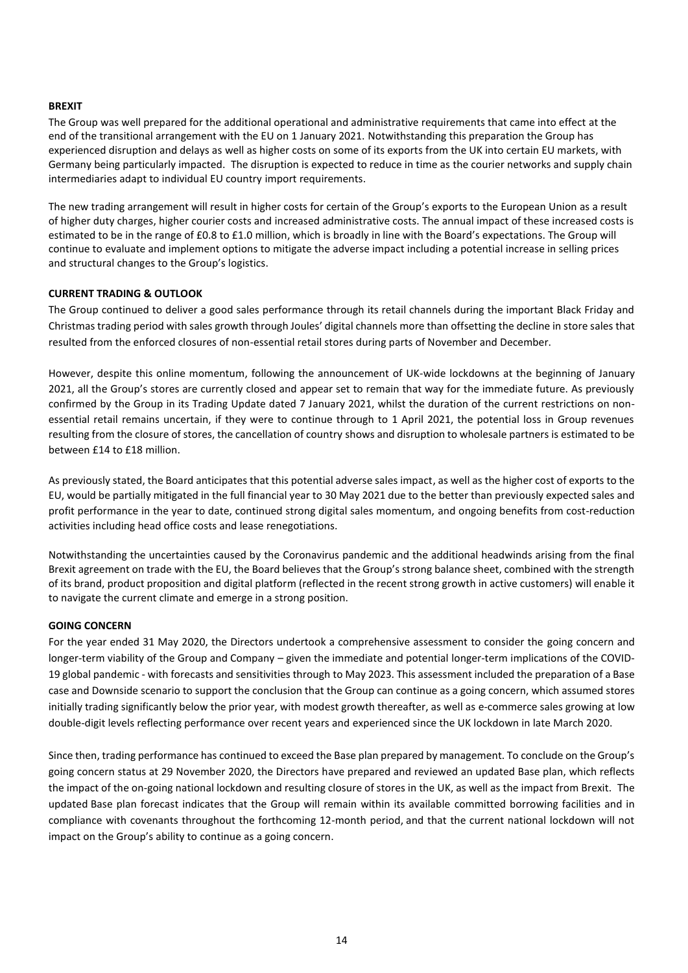## **BREXIT**

The Group was well prepared for the additional operational and administrative requirements that came into effect at the end of the transitional arrangement with the EU on 1 January 2021. Notwithstanding this preparation the Group has experienced disruption and delays as well as higher costs on some of its exports from the UK into certain EU markets, with Germany being particularly impacted. The disruption is expected to reduce in time as the courier networks and supply chain intermediaries adapt to individual EU country import requirements.

The new trading arrangement will result in higher costs for certain of the Group's exports to the European Union as a result of higher duty charges, higher courier costs and increased administrative costs. The annual impact of these increased costs is estimated to be in the range of £0.8 to £1.0 million, which is broadly in line with the Board's expectations. The Group will continue to evaluate and implement options to mitigate the adverse impact including a potential increase in selling prices and structural changes to the Group's logistics.

## **CURRENT TRADING & OUTLOOK**

The Group continued to deliver a good sales performance through its retail channels during the important Black Friday and Christmas trading period with sales growth through Joules' digital channels more than offsetting the decline in store sales that resulted from the enforced closures of non-essential retail stores during parts of November and December.

However, despite this online momentum, following the announcement of UK-wide lockdowns at the beginning of January 2021, all the Group's stores are currently closed and appear set to remain that way for the immediate future. As previously confirmed by the Group in its Trading Update dated 7 January 2021, whilst the duration of the current restrictions on nonessential retail remains uncertain, if they were to continue through to 1 April 2021, the potential loss in Group revenues resulting from the closure of stores, the cancellation of country shows and disruption to wholesale partners is estimated to be between £14 to £18 million.

As previously stated, the Board anticipates that this potential adverse sales impact, as well as the higher cost of exports to the EU, would be partially mitigated in the full financial year to 30 May 2021 due to the better than previously expected sales and profit performance in the year to date, continued strong digital sales momentum, and ongoing benefits from cost-reduction activities including head office costs and lease renegotiations.

Notwithstanding the uncertainties caused by the Coronavirus pandemic and the additional headwinds arising from the final Brexit agreement on trade with the EU, the Board believes that the Group's strong balance sheet, combined with the strength of its brand, product proposition and digital platform (reflected in the recent strong growth in active customers) will enable it to navigate the current climate and emerge in a strong position.

#### **GOING CONCERN**

For the year ended 31 May 2020, the Directors undertook a comprehensive assessment to consider the going concern and longer-term viability of the Group and Company – given the immediate and potential longer-term implications of the COVID-19 global pandemic - with forecasts and sensitivities through to May 2023. This assessment included the preparation of a Base case and Downside scenario to support the conclusion that the Group can continue as a going concern, which assumed stores initially trading significantly below the prior year, with modest growth thereafter, as well as e-commerce sales growing at low double-digit levels reflecting performance over recent years and experienced since the UK lockdown in late March 2020.

Since then, trading performance has continued to exceed the Base plan prepared by management. To conclude on the Group's going concern status at 29 November 2020, the Directors have prepared and reviewed an updated Base plan, which reflects the impact of the on-going national lockdown and resulting closure of stores in the UK, as well as the impact from Brexit. The updated Base plan forecast indicates that the Group will remain within its available committed borrowing facilities and in compliance with covenants throughout the forthcoming 12-month period, and that the current national lockdown will not impact on the Group's ability to continue as a going concern.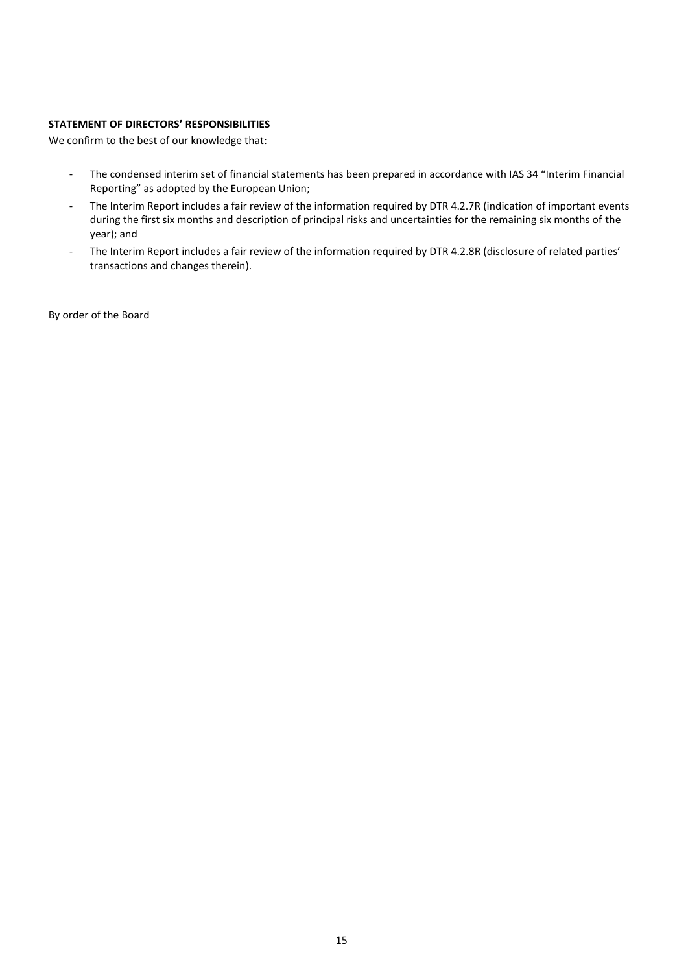# **STATEMENT OF DIRECTORS' RESPONSIBILITIES**

We confirm to the best of our knowledge that:

- The condensed interim set of financial statements has been prepared in accordance with IAS 34 "Interim Financial Reporting" as adopted by the European Union;
- The Interim Report includes a fair review of the information required by DTR 4.2.7R (indication of important events during the first six months and description of principal risks and uncertainties for the remaining six months of the year); and
- The Interim Report includes a fair review of the information required by DTR 4.2.8R (disclosure of related parties' transactions and changes therein).

By order of the Board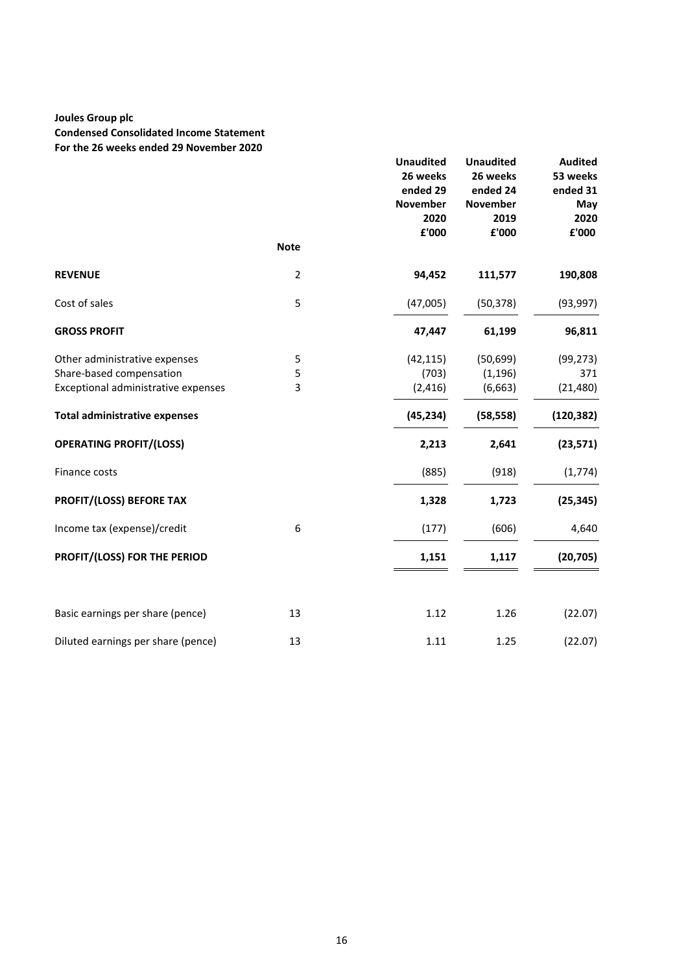# **Joules Group plc**

# **Condensed Consolidated Income Statement For the 26 weeks ended 29 November 2020**

|                                      |                | <b>Unaudited</b><br>26 weeks<br>ended 29<br><b>November</b><br>2020<br>£'000 | <b>Unaudited</b><br>26 weeks<br>ended 24<br><b>November</b><br>2019<br>£'000 | <b>Audited</b><br>53 weeks<br>ended 31<br>May<br>2020<br>£'000 |
|--------------------------------------|----------------|------------------------------------------------------------------------------|------------------------------------------------------------------------------|----------------------------------------------------------------|
|                                      | <b>Note</b>    |                                                                              |                                                                              |                                                                |
| <b>REVENUE</b>                       | $\overline{2}$ | 94,452                                                                       | 111,577                                                                      | 190,808                                                        |
| Cost of sales                        | 5              | (47,005)                                                                     | (50, 378)                                                                    | (93, 997)                                                      |
| <b>GROSS PROFIT</b>                  |                | 47,447                                                                       | 61,199                                                                       | 96,811                                                         |
| Other administrative expenses        | 5              | (42, 115)                                                                    | (50, 699)                                                                    | (99, 273)                                                      |
| Share-based compensation             | 5              | (703)                                                                        | (1, 196)                                                                     | 371                                                            |
| Exceptional administrative expenses  | 3              | (2, 416)                                                                     | (6, 663)                                                                     | (21, 480)                                                      |
| <b>Total administrative expenses</b> |                | (45, 234)                                                                    | (58, 558)                                                                    | (120, 382)                                                     |
| <b>OPERATING PROFIT/(LOSS)</b>       |                | 2,213                                                                        | 2,641                                                                        | (23, 571)                                                      |
| Finance costs                        |                | (885)                                                                        | (918)                                                                        | (1,774)                                                        |
| PROFIT/(LOSS) BEFORE TAX             |                | 1,328                                                                        | 1,723                                                                        | (25, 345)                                                      |
| Income tax (expense)/credit          | 6              | (177)                                                                        | (606)                                                                        | 4,640                                                          |
| PROFIT/(LOSS) FOR THE PERIOD         |                | 1,151                                                                        | 1,117                                                                        | (20, 705)                                                      |
| Basic earnings per share (pence)     | 13             | 1.12                                                                         | 1.26                                                                         | (22.07)                                                        |
| Diluted earnings per share (pence)   | 13             | 1.11                                                                         | 1.25                                                                         | (22.07)                                                        |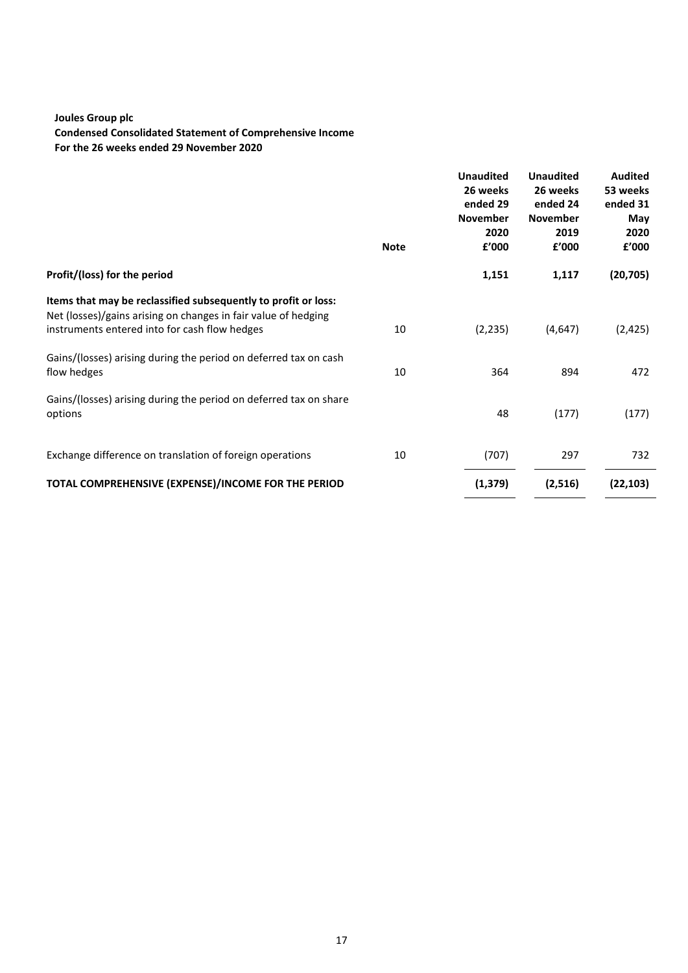# **Joules Group plc**

**Condensed Consolidated Statement of Comprehensive Income For the 26 weeks ended 29 November 2020**

|                                                                                                                                                                                   | <b>Note</b> | <b>Unaudited</b><br>26 weeks<br>ended 29<br><b>November</b><br>2020<br>£'000 | <b>Unaudited</b><br>26 weeks<br>ended 24<br><b>November</b><br>2019<br>£'000 | <b>Audited</b><br>53 weeks<br>ended 31<br>May<br>2020<br>£'000 |
|-----------------------------------------------------------------------------------------------------------------------------------------------------------------------------------|-------------|------------------------------------------------------------------------------|------------------------------------------------------------------------------|----------------------------------------------------------------|
| Profit/(loss) for the period                                                                                                                                                      |             | 1,151                                                                        | 1,117                                                                        | (20, 705)                                                      |
| Items that may be reclassified subsequently to profit or loss:<br>Net (losses)/gains arising on changes in fair value of hedging<br>instruments entered into for cash flow hedges | 10          | (2, 235)                                                                     | (4,647)                                                                      | (2,425)                                                        |
| Gains/(losses) arising during the period on deferred tax on cash<br>flow hedges                                                                                                   | 10          | 364                                                                          | 894                                                                          | 472                                                            |
| Gains/(losses) arising during the period on deferred tax on share<br>options                                                                                                      |             | 48                                                                           | (177)                                                                        | (177)                                                          |
| Exchange difference on translation of foreign operations                                                                                                                          | 10          | (707)                                                                        | 297                                                                          | 732                                                            |
| TOTAL COMPREHENSIVE (EXPENSE)/INCOME FOR THE PERIOD                                                                                                                               |             | (1, 379)                                                                     | (2,516)                                                                      | (22, 103)                                                      |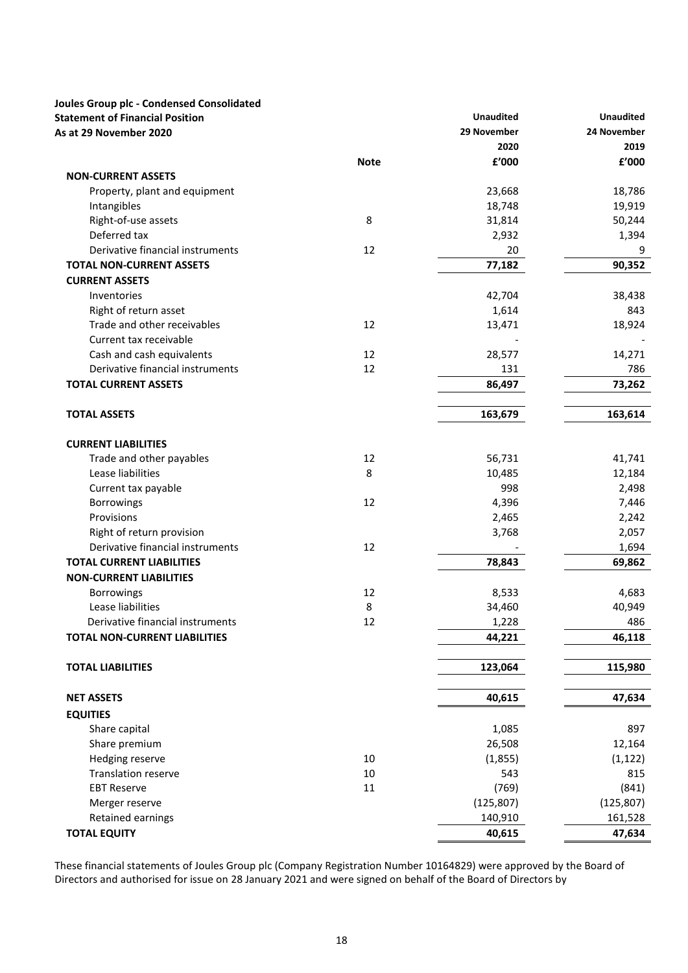| Joules Group plc - Condensed Consolidated |             |                  |                  |
|-------------------------------------------|-------------|------------------|------------------|
| <b>Statement of Financial Position</b>    |             | <b>Unaudited</b> | <b>Unaudited</b> |
| As at 29 November 2020                    |             | 29 November      | 24 November      |
|                                           |             | 2020             | 2019             |
|                                           | <b>Note</b> | £'000            | £'000            |
| <b>NON-CURRENT ASSETS</b>                 |             |                  |                  |
| Property, plant and equipment             |             | 23,668           | 18,786           |
| Intangibles                               |             | 18,748           | 19,919           |
| Right-of-use assets                       | 8           | 31,814           | 50,244           |
| Deferred tax                              |             | 2,932            | 1,394            |
| Derivative financial instruments          | 12          | 20               | 9                |
| <b>TOTAL NON-CURRENT ASSETS</b>           |             | 77,182           | 90,352           |
| <b>CURRENT ASSETS</b>                     |             |                  |                  |
| Inventories                               |             | 42,704           | 38,438           |
| Right of return asset                     |             | 1,614            | 843              |
| Trade and other receivables               | 12          | 13,471           | 18,924           |
| Current tax receivable                    |             |                  |                  |
| Cash and cash equivalents                 | 12          | 28,577           | 14,271           |
| Derivative financial instruments          | 12          | 131              | 786              |
| <b>TOTAL CURRENT ASSETS</b>               |             | 86,497           | 73,262           |
|                                           |             |                  |                  |
| <b>TOTAL ASSETS</b>                       |             | 163,679          | 163,614          |
| <b>CURRENT LIABILITIES</b>                |             |                  |                  |
| Trade and other payables                  | 12          | 56,731           | 41,741           |
| Lease liabilities                         | 8           | 10,485           | 12,184           |
| Current tax payable                       |             | 998              | 2,498            |
| Borrowings                                | 12          | 4,396            | 7,446            |
| Provisions                                |             | 2,465            | 2,242            |
| Right of return provision                 |             | 3,768            | 2,057            |
| Derivative financial instruments          | 12          |                  | 1,694            |
| <b>TOTAL CURRENT LIABILITIES</b>          |             | 78,843           | 69,862           |
| <b>NON-CURRENT LIABILITIES</b>            |             |                  |                  |
| <b>Borrowings</b>                         | 12          | 8,533            | 4,683            |
| Lease liabilities                         | 8           | 34,460           | 40,949           |
| Derivative financial instruments          | 12          | 1,228            | 486              |
| <b>TOTAL NON-CURRENT LIABILITIES</b>      |             | 44,221           | 46,118           |
|                                           |             |                  |                  |
| <b>TOTAL LIABILITIES</b>                  |             | 123,064          | 115,980          |
| <b>NET ASSETS</b>                         |             | 40,615           | 47,634           |
| <b>EQUITIES</b>                           |             |                  |                  |
| Share capital                             |             | 1,085            | 897              |
| Share premium                             |             | 26,508           | 12,164           |
| Hedging reserve                           | 10          | (1,855)          | (1, 122)         |
| <b>Translation reserve</b>                | 10          | 543              | 815              |
| <b>EBT Reserve</b>                        | 11          | (769)            | (841)            |
| Merger reserve                            |             | (125, 807)       | (125, 807)       |
| Retained earnings                         |             | 140,910          | 161,528          |
| <b>TOTAL EQUITY</b>                       |             | 40,615           | 47,634           |
|                                           |             |                  |                  |

These financial statements of Joules Group plc (Company Registration Number 10164829) were approved by the Board of Directors and authorised for issue on 28 January 2021 and were signed on behalf of the Board of Directors by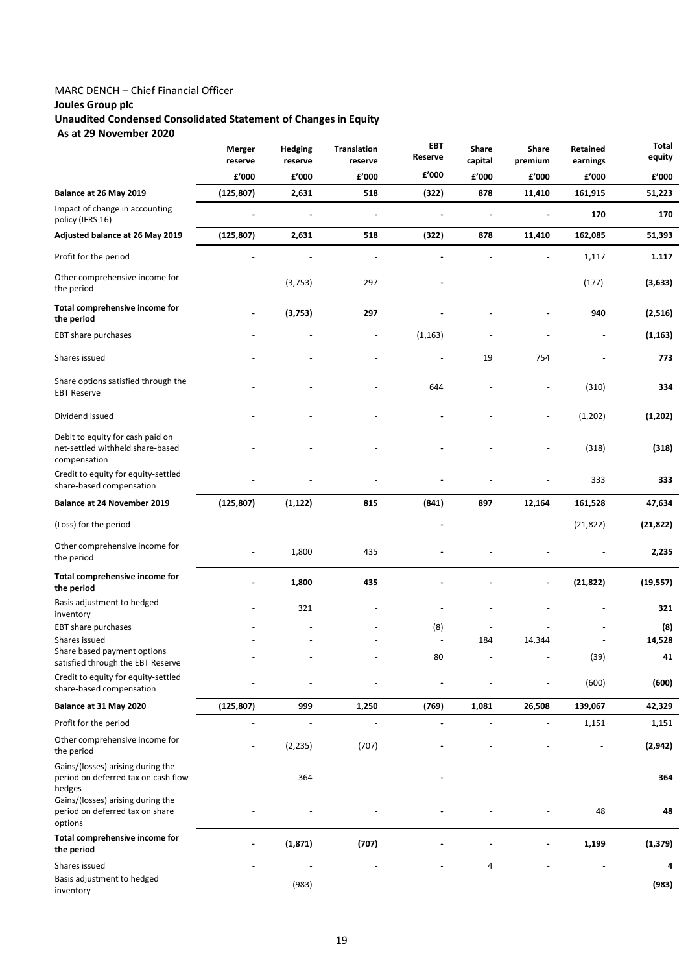# MARC DENCH – Chief Financial Officer

# **Joules Group plc**

# **Unaudited Condensed Consolidated Statement of Changes in Equity As at 29 November 2020**

|                                                                                      | Merger<br>reserve        | <b>Hedging</b><br>reserve | <b>Translation</b><br>reserve | EBT<br>Reserve | Share<br>capital | Share<br>premium         | Retained<br>earnings | <b>Total</b><br>equity |
|--------------------------------------------------------------------------------------|--------------------------|---------------------------|-------------------------------|----------------|------------------|--------------------------|----------------------|------------------------|
|                                                                                      | £'000                    | £'000                     | £'000                         | £'000          | £'000            | $\textbf{f}'$ 000        | £'000                | f'000                  |
| Balance at 26 May 2019                                                               | (125, 807)               | 2,631                     | 518                           | (322)          | 878              | 11,410                   | 161,915              | 51,223                 |
| Impact of change in accounting<br>policy (IFRS 16)                                   |                          | L,                        | $\overline{a}$                |                |                  |                          | 170                  | 170                    |
| Adjusted balance at 26 May 2019                                                      | (125, 807)               | 2,631                     | 518                           | (322)          | 878              | 11,410                   | 162,085              | 51,393                 |
| Profit for the period                                                                |                          |                           | $\overline{\phantom{m}}$      |                |                  |                          | 1,117                | 1.117                  |
| Other comprehensive income for<br>the period                                         | $\overline{\phantom{a}}$ | (3, 753)                  | 297                           |                |                  | $\overline{\phantom{a}}$ | (177)                | (3, 633)               |
| Total comprehensive income for<br>the period                                         |                          | (3,753)                   | 297                           |                |                  |                          | 940                  | (2,516)                |
| <b>EBT</b> share purchases                                                           |                          |                           |                               | (1, 163)       |                  |                          |                      | (1, 163)               |
| Shares issued                                                                        |                          |                           |                               |                | 19               | 754                      |                      | 773                    |
| Share options satisfied through the<br><b>EBT Reserve</b>                            |                          |                           |                               | 644            |                  |                          | (310)                | 334                    |
| Dividend issued                                                                      |                          |                           |                               |                |                  |                          | (1, 202)             | (1, 202)               |
| Debit to equity for cash paid on<br>net-settled withheld share-based<br>compensation |                          |                           |                               |                |                  |                          | (318)                | (318)                  |
| Credit to equity for equity-settled<br>share-based compensation                      |                          |                           |                               |                |                  |                          | 333                  | 333                    |
| Balance at 24 November 2019                                                          | (125, 807)               | (1, 122)                  | 815                           | (841)          | 897              | 12,164                   | 161,528              | 47,634                 |
| (Loss) for the period                                                                |                          |                           |                               |                |                  |                          | (21, 822)            | (21, 822)              |
| Other comprehensive income for<br>the period                                         |                          | 1,800                     | 435                           |                |                  |                          |                      | 2,235                  |
| Total comprehensive income for<br>the period                                         |                          | 1,800                     | 435                           |                |                  |                          | (21, 822)            | (19, 557)              |
| Basis adjustment to hedged<br>inventory                                              |                          | 321                       |                               |                |                  |                          |                      | 321                    |
| EBT share purchases                                                                  |                          |                           |                               | (8)            |                  |                          |                      | (8)                    |
| Shares issued<br>Share based payment options                                         |                          |                           |                               |                | 184              | 14,344                   |                      | 14,528                 |
| satisfied through the EBT Reserve                                                    |                          |                           |                               | 80             |                  |                          | (39)                 | 41                     |
| Credit to equity for equity-settled<br>share-based compensation                      |                          |                           |                               |                |                  |                          | (600)                | (600)                  |
| Balance at 31 May 2020                                                               | (125, 807)               | 999                       | 1,250                         | (769)          | 1,081            | 26,508                   | 139,067              | 42,329                 |
| Profit for the period                                                                |                          |                           |                               |                |                  |                          | 1,151                | 1,151                  |
| Other comprehensive income for<br>the period                                         |                          | (2, 235)                  | (707)                         |                |                  |                          |                      | (2, 942)               |
| Gains/(losses) arising during the<br>period on deferred tax on cash flow<br>hedges   |                          | 364                       |                               |                |                  |                          |                      | 364                    |
| Gains/(losses) arising during the<br>period on deferred tax on share<br>options      |                          |                           |                               |                |                  |                          | 48                   | 48                     |
| Total comprehensive income for<br>the period                                         |                          | (1, 871)                  | (707)                         |                |                  |                          | 1,199                | (1, 379)               |
| Shares issued                                                                        |                          |                           |                               |                | 4                |                          |                      | 4                      |
| Basis adjustment to hedged<br>inventory                                              |                          | (983)                     |                               |                |                  |                          |                      | (983)                  |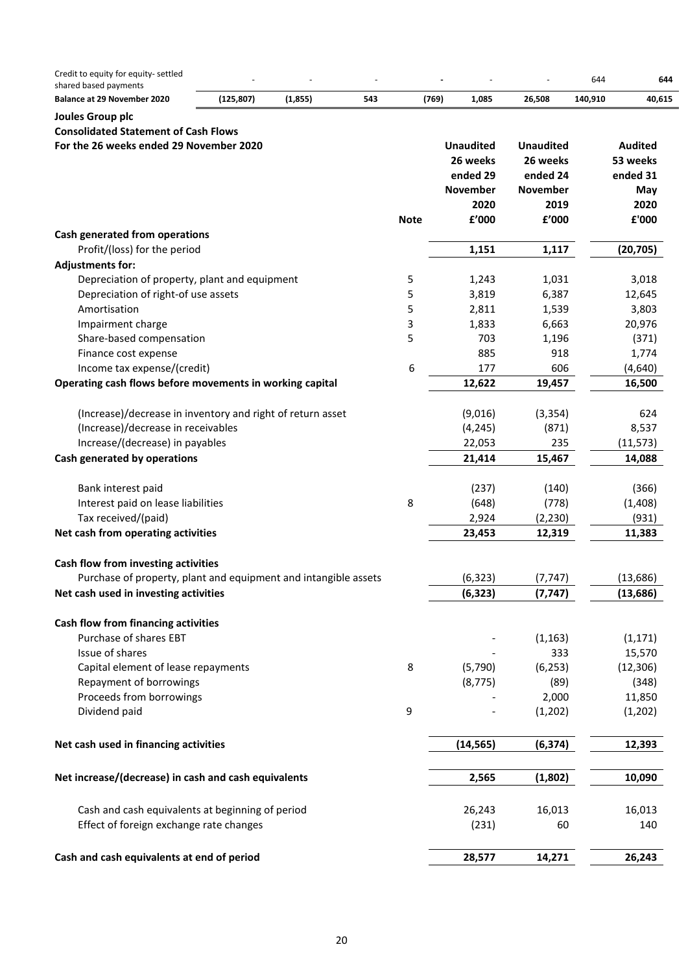| Credit to equity for equity- settled<br>shared based payments   |            |          |     |             |       |                  |                  | 644     | 644            |
|-----------------------------------------------------------------|------------|----------|-----|-------------|-------|------------------|------------------|---------|----------------|
| <b>Balance at 29 November 2020</b>                              | (125, 807) | (1, 855) | 543 |             | (769) | 1,085            | 26,508           | 140,910 | 40,615         |
| Joules Group plc                                                |            |          |     |             |       |                  |                  |         |                |
| <b>Consolidated Statement of Cash Flows</b>                     |            |          |     |             |       |                  |                  |         |                |
| For the 26 weeks ended 29 November 2020                         |            |          |     |             |       | <b>Unaudited</b> | <b>Unaudited</b> |         | <b>Audited</b> |
|                                                                 |            |          |     |             |       | 26 weeks         | 26 weeks         |         | 53 weeks       |
|                                                                 |            |          |     |             |       | ended 29         | ended 24         |         | ended 31       |
|                                                                 |            |          |     |             |       | <b>November</b>  | <b>November</b>  |         | May            |
|                                                                 |            |          |     |             |       | 2020             | 2019             |         | 2020           |
|                                                                 |            |          |     | <b>Note</b> |       | £'000            | £'000            |         | £'000          |
| Cash generated from operations                                  |            |          |     |             |       |                  |                  |         |                |
| Profit/(loss) for the period                                    |            |          |     |             |       | 1,151            | 1,117            |         | (20, 705)      |
| <b>Adjustments for:</b>                                         |            |          |     |             |       |                  |                  |         |                |
| Depreciation of property, plant and equipment                   |            |          |     | 5           |       | 1,243            | 1,031            |         | 3,018          |
| Depreciation of right-of use assets                             |            |          |     | 5           |       | 3,819            | 6,387            |         | 12,645         |
| Amortisation                                                    |            |          |     | 5           |       | 2,811            | 1,539            |         | 3,803          |
| Impairment charge                                               |            |          |     | 3           |       | 1,833            | 6,663            |         | 20,976         |
| Share-based compensation                                        |            |          |     | 5           |       | 703              | 1,196            |         | (371)          |
| Finance cost expense                                            |            |          |     |             |       | 885              | 918              |         |                |
|                                                                 |            |          |     |             |       |                  |                  |         | 1,774          |
| Income tax expense/(credit)                                     |            |          |     | 6           |       | 177              | 606              |         | (4,640)        |
| Operating cash flows before movements in working capital        |            |          |     |             |       | 12,622           | 19,457           |         | 16,500         |
|                                                                 |            |          |     |             |       |                  |                  |         |                |
| (Increase)/decrease in inventory and right of return asset      |            |          |     |             |       | (9,016)          | (3, 354)         |         | 624            |
| (Increase)/decrease in receivables                              |            |          |     |             |       | (4, 245)         | (871)            |         | 8,537          |
| Increase/(decrease) in payables                                 |            |          |     |             |       | 22,053           | 235              |         | (11, 573)      |
| Cash generated by operations                                    |            |          |     |             |       | 21,414           | 15,467           |         | 14,088         |
|                                                                 |            |          |     |             |       |                  |                  |         |                |
| Bank interest paid                                              |            |          |     |             |       | (237)            | (140)            |         | (366)          |
| Interest paid on lease liabilities                              |            |          |     | 8           |       | (648)            | (778)            |         | (1,408)        |
| Tax received/(paid)                                             |            |          |     |             |       | 2,924            | (2, 230)         |         | (931)          |
| Net cash from operating activities                              |            |          |     |             |       | 23,453           | 12,319           |         | 11,383         |
|                                                                 |            |          |     |             |       |                  |                  |         |                |
| Cash flow from investing activities                             |            |          |     |             |       |                  |                  |         |                |
| Purchase of property, plant and equipment and intangible assets |            |          |     |             |       | (6, 323)         | (7, 747)         |         | (13, 686)      |
| Net cash used in investing activities                           |            |          |     |             |       | (6, 323)         | (7, 747)         |         | (13, 686)      |
|                                                                 |            |          |     |             |       |                  |                  |         |                |
| Cash flow from financing activities                             |            |          |     |             |       |                  |                  |         |                |
| Purchase of shares EBT                                          |            |          |     |             |       |                  | (1, 163)         |         | (1, 171)       |
| Issue of shares                                                 |            |          |     |             |       |                  | 333              |         | 15,570         |
| Capital element of lease repayments                             |            |          |     | 8           |       | (5,790)          | (6, 253)         |         | (12, 306)      |
| Repayment of borrowings                                         |            |          |     |             |       | (8, 775)         | (89)             |         | (348)          |
| Proceeds from borrowings                                        |            |          |     |             |       |                  | 2,000            |         | 11,850         |
| Dividend paid                                                   |            |          |     | 9           |       |                  | (1, 202)         |         | (1, 202)       |
|                                                                 |            |          |     |             |       |                  |                  |         |                |
| Net cash used in financing activities                           |            |          |     |             |       | (14, 565)        | (6, 374)         |         | 12,393         |
|                                                                 |            |          |     |             |       |                  |                  |         |                |
| Net increase/(decrease) in cash and cash equivalents            |            |          |     |             |       |                  | (1,802)          |         |                |
|                                                                 |            |          |     |             |       | 2,565            |                  |         | 10,090         |
|                                                                 |            |          |     |             |       |                  |                  |         |                |
| Cash and cash equivalents at beginning of period                |            |          |     |             |       | 26,243           | 16,013           |         | 16,013         |
| Effect of foreign exchange rate changes                         |            |          |     |             |       | (231)            | 60               |         | 140            |
|                                                                 |            |          |     |             |       |                  |                  |         |                |
| Cash and cash equivalents at end of period                      |            |          |     |             |       | 28,577           | 14,271           |         | 26,243         |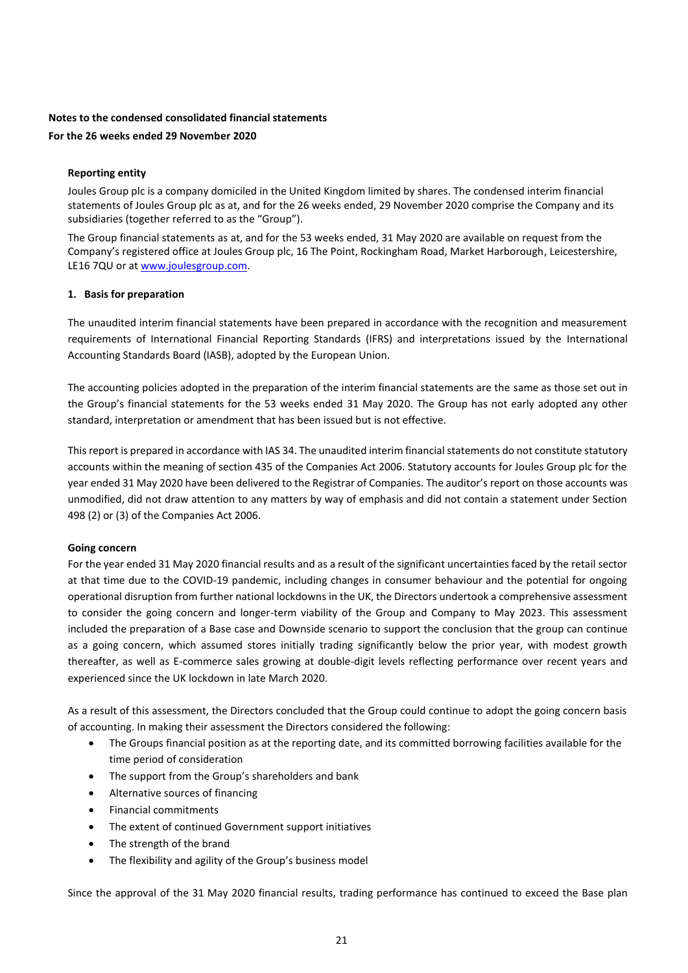## **Notes to the condensed consolidated financial statements**

## **For the 26 weeks ended 29 November 2020**

## **Reporting entity**

Joules Group plc is a company domiciled in the United Kingdom limited by shares. The condensed interim financial statements of Joules Group plc as at, and for the 26 weeks ended, 29 November 2020 comprise the Company and its subsidiaries (together referred to as the "Group").

The Group financial statements as at, and for the 53 weeks ended, 31 May 2020 are available on request from the Company's registered office at Joules Group plc, 16 The Point, Rockingham Road, Market Harborough, Leicestershire, LE16 7QU or at [www.joulesgroup.com.](http://www.joulesgroup.com/)

## **1. Basis for preparation**

The unaudited interim financial statements have been prepared in accordance with the recognition and measurement requirements of International Financial Reporting Standards (IFRS) and interpretations issued by the International Accounting Standards Board (IASB), adopted by the European Union.

The accounting policies adopted in the preparation of the interim financial statements are the same as those set out in the Group's financial statements for the 53 weeks ended 31 May 2020. The Group has not early adopted any other standard, interpretation or amendment that has been issued but is not effective.

This report is prepared in accordance with IAS 34. The unaudited interim financial statements do not constitute statutory accounts within the meaning of section 435 of the Companies Act 2006. Statutory accounts for Joules Group plc for the year ended 31 May 2020 have been delivered to the Registrar of Companies. The auditor's report on those accounts was unmodified, did not draw attention to any matters by way of emphasis and did not contain a statement under Section 498 (2) or (3) of the Companies Act 2006.

## **Going concern**

For the year ended 31 May 2020 financial results and as a result of the significant uncertainties faced by the retail sector at that time due to the COVID-19 pandemic, including changes in consumer behaviour and the potential for ongoing operational disruption from further national lockdowns in the UK, the Directors undertook a comprehensive assessment to consider the going concern and longer-term viability of the Group and Company to May 2023. This assessment included the preparation of a Base case and Downside scenario to support the conclusion that the group can continue as a going concern, which assumed stores initially trading significantly below the prior year, with modest growth thereafter, as well as E-commerce sales growing at double-digit levels reflecting performance over recent years and experienced since the UK lockdown in late March 2020.

As a result of this assessment, the Directors concluded that the Group could continue to adopt the going concern basis of accounting. In making their assessment the Directors considered the following:

- The Groups financial position as at the reporting date, and its committed borrowing facilities available for the time period of consideration
- The support from the Group's shareholders and bank
- Alternative sources of financing
- Financial commitments
- The extent of continued Government support initiatives
- The strength of the brand
- The flexibility and agility of the Group's business model

Since the approval of the 31 May 2020 financial results, trading performance has continued to exceed the Base plan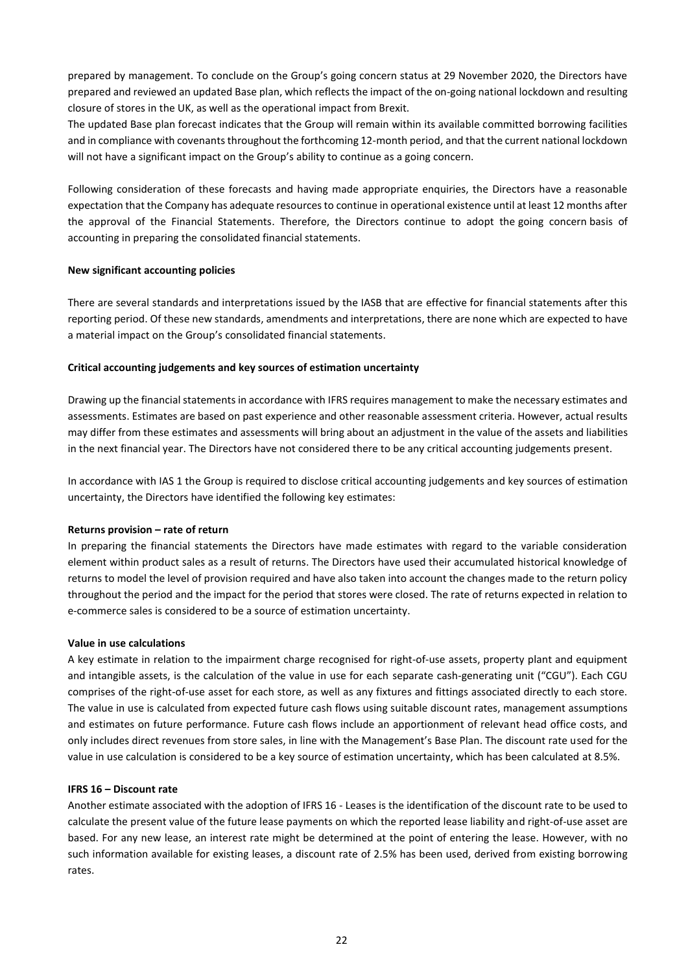prepared by management. To conclude on the Group's going concern status at 29 November 2020, the Directors have prepared and reviewed an updated Base plan, which reflects the impact of the on-going national lockdown and resulting closure of stores in the UK, as well as the operational impact from Brexit.

The updated Base plan forecast indicates that the Group will remain within its available committed borrowing facilities and in compliance with covenants throughout the forthcoming 12-month period, and that the current national lockdown will not have a significant impact on the Group's ability to continue as a going concern.

Following consideration of these forecasts and having made appropriate enquiries, the Directors have a reasonable expectation that the Company has adequate resources to continue in operational existence until at least 12 months after the approval of the Financial Statements. Therefore, the Directors continue to adopt the going concern basis of accounting in preparing the consolidated financial statements.

## **New significant accounting policies**

There are several standards and interpretations issued by the IASB that are effective for financial statements after this reporting period. Of these new standards, amendments and interpretations, there are none which are expected to have a material impact on the Group's consolidated financial statements.

#### **Critical accounting judgements and key sources of estimation uncertainty**

Drawing up the financial statements in accordance with IFRS requires management to make the necessary estimates and assessments. Estimates are based on past experience and other reasonable assessment criteria. However, actual results may differ from these estimates and assessments will bring about an adjustment in the value of the assets and liabilities in the next financial year. The Directors have not considered there to be any critical accounting judgements present.

In accordance with IAS 1 the Group is required to disclose critical accounting judgements and key sources of estimation uncertainty, the Directors have identified the following key estimates:

#### **Returns provision – rate of return**

In preparing the financial statements the Directors have made estimates with regard to the variable consideration element within product sales as a result of returns. The Directors have used their accumulated historical knowledge of returns to model the level of provision required and have also taken into account the changes made to the return policy throughout the period and the impact for the period that stores were closed. The rate of returns expected in relation to e-commerce sales is considered to be a source of estimation uncertainty.

#### **Value in use calculations**

A key estimate in relation to the impairment charge recognised for right-of-use assets, property plant and equipment and intangible assets, is the calculation of the value in use for each separate cash-generating unit ("CGU"). Each CGU comprises of the right-of-use asset for each store, as well as any fixtures and fittings associated directly to each store. The value in use is calculated from expected future cash flows using suitable discount rates, management assumptions and estimates on future performance. Future cash flows include an apportionment of relevant head office costs, and only includes direct revenues from store sales, in line with the Management's Base Plan. The discount rate used for the value in use calculation is considered to be a key source of estimation uncertainty, which has been calculated at 8.5%.

#### **IFRS 16 – Discount rate**

Another estimate associated with the adoption of IFRS 16 - Leases is the identification of the discount rate to be used to calculate the present value of the future lease payments on which the reported lease liability and right-of-use asset are based. For any new lease, an interest rate might be determined at the point of entering the lease. However, with no such information available for existing leases, a discount rate of 2.5% has been used, derived from existing borrowing rates.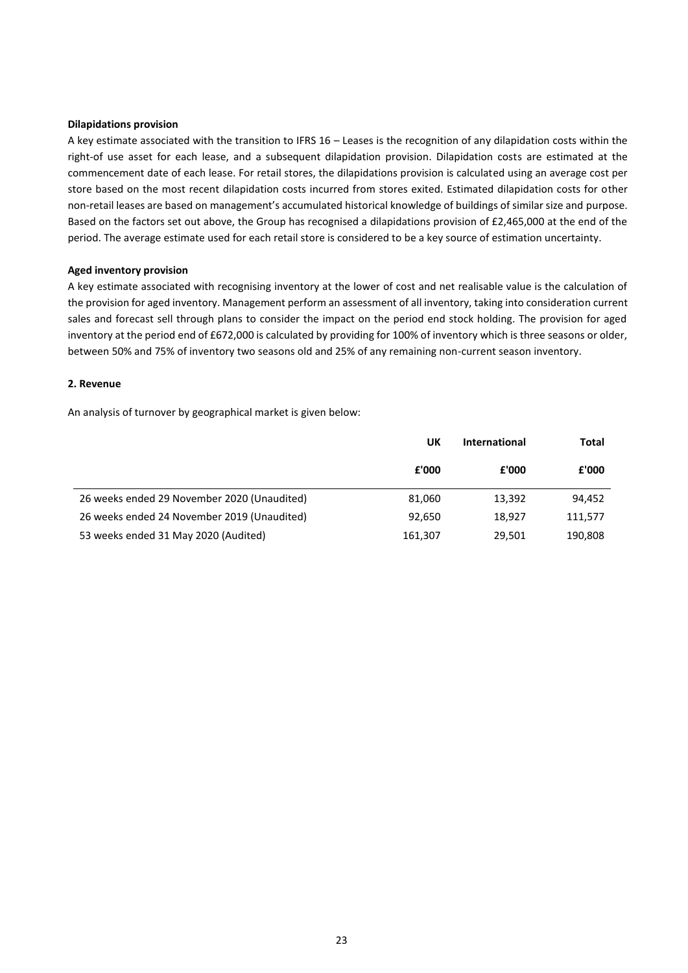#### **Dilapidations provision**

A key estimate associated with the transition to IFRS 16 – Leases is the recognition of any dilapidation costs within the right-of use asset for each lease, and a subsequent dilapidation provision. Dilapidation costs are estimated at the commencement date of each lease. For retail stores, the dilapidations provision is calculated using an average cost per store based on the most recent dilapidation costs incurred from stores exited. Estimated dilapidation costs for other non-retail leases are based on management's accumulated historical knowledge of buildings of similar size and purpose. Based on the factors set out above, the Group has recognised a dilapidations provision of £2,465,000 at the end of the period. The average estimate used for each retail store is considered to be a key source of estimation uncertainty.

## **Aged inventory provision**

A key estimate associated with recognising inventory at the lower of cost and net realisable value is the calculation of the provision for aged inventory. Management perform an assessment of all inventory, taking into consideration current sales and forecast sell through plans to consider the impact on the period end stock holding. The provision for aged inventory at the period end of £672,000 is calculated by providing for 100% of inventory which is three seasons or older, between 50% and 75% of inventory two seasons old and 25% of any remaining non-current season inventory.

#### **2. Revenue**

An analysis of turnover by geographical market is given below:

|                                             | UK      | <b>International</b> | Total   |  |
|---------------------------------------------|---------|----------------------|---------|--|
|                                             | £'000   | £'000                | £'000   |  |
| 26 weeks ended 29 November 2020 (Unaudited) | 81,060  | 13,392               | 94,452  |  |
| 26 weeks ended 24 November 2019 (Unaudited) | 92.650  | 18.927               | 111,577 |  |
| 53 weeks ended 31 May 2020 (Audited)        | 161,307 | 29.501               | 190.808 |  |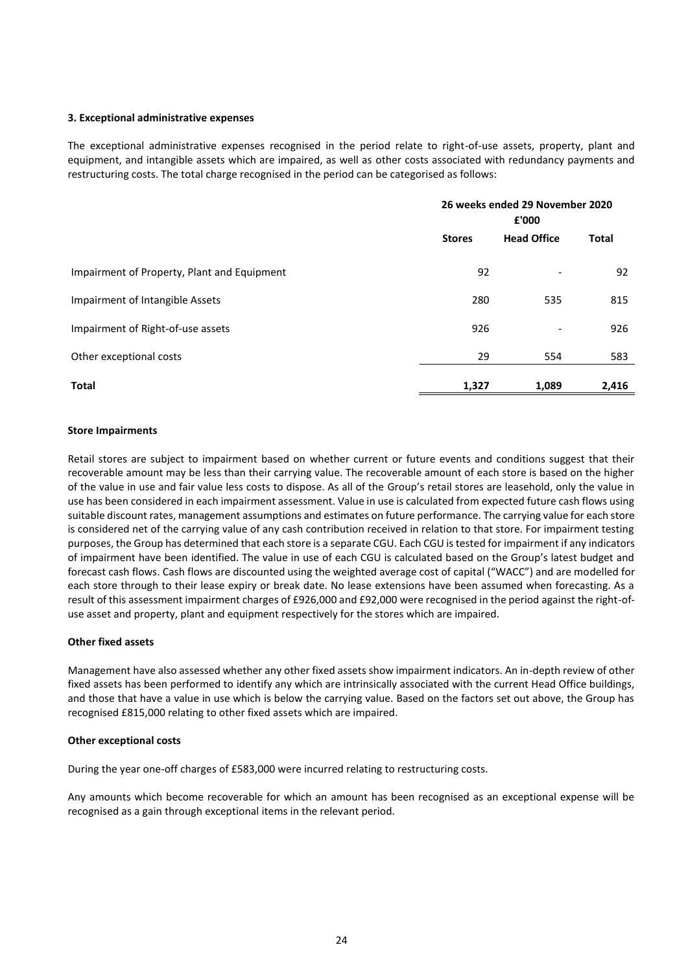#### **3. Exceptional administrative expenses**

The exceptional administrative expenses recognised in the period relate to right-of-use assets, property, plant and equipment, and intangible assets which are impaired, as well as other costs associated with redundancy payments and restructuring costs. The total charge recognised in the period can be categorised as follows:

|                                             | 26 weeks ended 29 November 2020<br>£'000 |                              |              |  |
|---------------------------------------------|------------------------------------------|------------------------------|--------------|--|
|                                             | <b>Stores</b>                            | <b>Head Office</b>           | <b>Total</b> |  |
| Impairment of Property, Plant and Equipment | 92                                       | ٠                            | 92           |  |
| Impairment of Intangible Assets             | 280                                      | 535                          | 815          |  |
| Impairment of Right-of-use assets           | 926                                      | $\qquad \qquad \blacksquare$ | 926          |  |
| Other exceptional costs                     | 29                                       | 554                          | 583          |  |
| <b>Total</b>                                | 1,327                                    | 1,089                        | 2,416        |  |

#### **Store Impairments**

Retail stores are subject to impairment based on whether current or future events and conditions suggest that their recoverable amount may be less than their carrying value. The recoverable amount of each store is based on the higher of the value in use and fair value less costs to dispose. As all of the Group's retail stores are leasehold, only the value in use has been considered in each impairment assessment. Value in use is calculated from expected future cash flows using suitable discount rates, management assumptions and estimates on future performance. The carrying value for each store is considered net of the carrying value of any cash contribution received in relation to that store. For impairment testing purposes, the Group has determined that each store is a separate CGU. Each CGU is tested for impairment if any indicators of impairment have been identified. The value in use of each CGU is calculated based on the Group's latest budget and forecast cash flows. Cash flows are discounted using the weighted average cost of capital ("WACC") and are modelled for each store through to their lease expiry or break date. No lease extensions have been assumed when forecasting. As a result of this assessment impairment charges of £926,000 and £92,000 were recognised in the period against the right-ofuse asset and property, plant and equipment respectively for the stores which are impaired.

#### **Other fixed assets**

Management have also assessed whether any other fixed assets show impairment indicators. An in-depth review of other fixed assets has been performed to identify any which are intrinsically associated with the current Head Office buildings, and those that have a value in use which is below the carrying value. Based on the factors set out above, the Group has recognised £815,000 relating to other fixed assets which are impaired.

#### **Other exceptional costs**

During the year one-off charges of £583,000 were incurred relating to restructuring costs.

Any amounts which become recoverable for which an amount has been recognised as an exceptional expense will be recognised as a gain through exceptional items in the relevant period.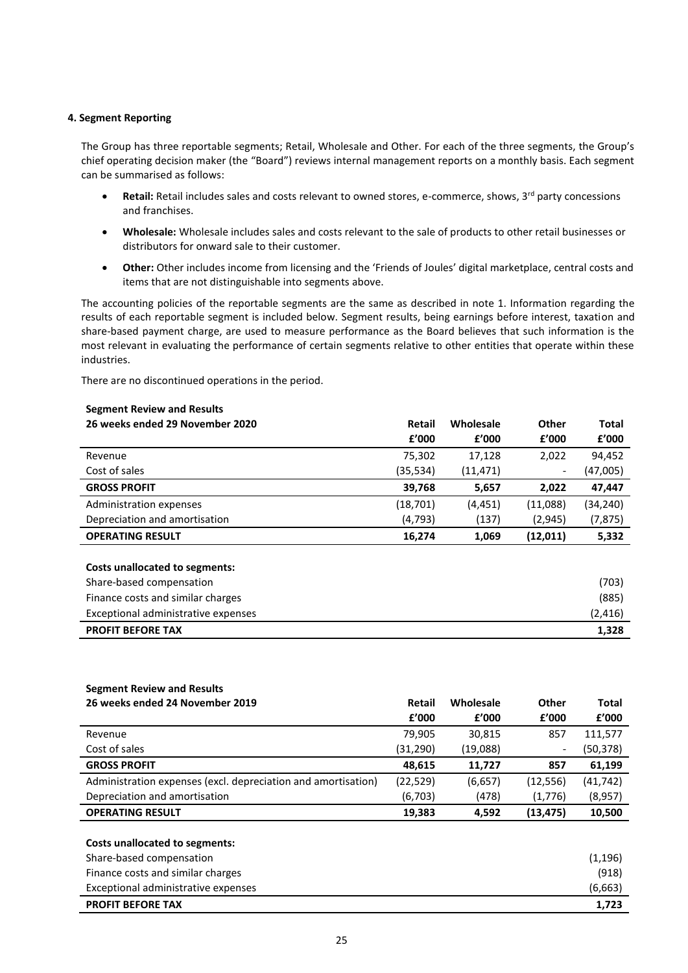#### **4. Segment Reporting**

The Group has three reportable segments; Retail, Wholesale and Other. For each of the three segments, the Group's chief operating decision maker (the "Board") reviews internal management reports on a monthly basis. Each segment can be summarised as follows:

- Retail: Retail includes sales and costs relevant to owned stores, e-commerce, shows, 3<sup>rd</sup> party concessions and franchises.
- **Wholesale:** Wholesale includes sales and costs relevant to the sale of products to other retail businesses or distributors for onward sale to their customer.
- **Other:** Other includes income from licensing and the 'Friends of Joules' digital marketplace, central costs and items that are not distinguishable into segments above.

The accounting policies of the reportable segments are the same as described in note 1. Information regarding the results of each reportable segment is included below. Segment results, being earnings before interest, taxation and share-based payment charge, are used to measure performance as the Board believes that such information is the most relevant in evaluating the performance of certain segments relative to other entities that operate within these industries.

There are no discontinued operations in the period.

| <b>Segment Review and Results</b>     |           |           |           |           |
|---------------------------------------|-----------|-----------|-----------|-----------|
| 26 weeks ended 29 November 2020       | Retail    | Wholesale | Other     | Total     |
|                                       | f'000     | f'000     | f'000     | f'000     |
| Revenue                               | 75,302    | 17,128    | 2,022     | 94,452    |
| Cost of sales                         | (35, 534) | (11, 471) |           | (47,005)  |
| <b>GROSS PROFIT</b>                   | 39,768    | 5,657     | 2,022     | 47,447    |
| Administration expenses               | (18,701)  | (4, 451)  | (11,088)  | (34, 240) |
| Depreciation and amortisation         | (4, 793)  | (137)     | (2,945)   | (7, 875)  |
| <b>OPERATING RESULT</b>               | 16,274    | 1,069     | (12, 011) | 5,332     |
| <b>Costs unallocated to segments:</b> |           |           |           |           |
| Share-based compensation              |           |           |           | (703)     |
| Finance costs and similar charges     |           |           |           | (885)     |
| Exceptional administrative expenses   |           |           |           | (2, 416)  |
| <b>PROFIT BEFORE TAX</b>              |           |           |           | 1,328     |

| <b>Segment Review and Results</b>                             |           |           |           |           |
|---------------------------------------------------------------|-----------|-----------|-----------|-----------|
| 26 weeks ended 24 November 2019                               | Retail    | Wholesale | Other     | Total     |
|                                                               | f'000     | f'000     | f'000     | f'000     |
| Revenue                                                       | 79,905    | 30,815    | 857       | 111,577   |
| Cost of sales                                                 | (31, 290) | (19,088)  | -         | (50, 378) |
| <b>GROSS PROFIT</b>                                           | 48,615    | 11,727    | 857       | 61,199    |
| Administration expenses (excl. depreciation and amortisation) | (22, 529) | (6,657)   | (12, 556) | (41, 742) |
| Depreciation and amortisation                                 | (6,703)   | (478)     | (1,776)   | (8,957)   |
| <b>OPERATING RESULT</b>                                       | 19,383    | 4,592     | (13, 475) | 10,500    |
|                                                               |           |           |           |           |
| Costs unallocated to segments:                                |           |           |           |           |
| Share-based compensation                                      |           |           |           | (1, 196)  |
| Finance costs and similar charges                             |           |           |           | (918)     |
| Exceptional administrative expenses                           |           |           |           | (6,663)   |
| <b>PROFIT BEFORE TAX</b>                                      |           |           |           | 1,723     |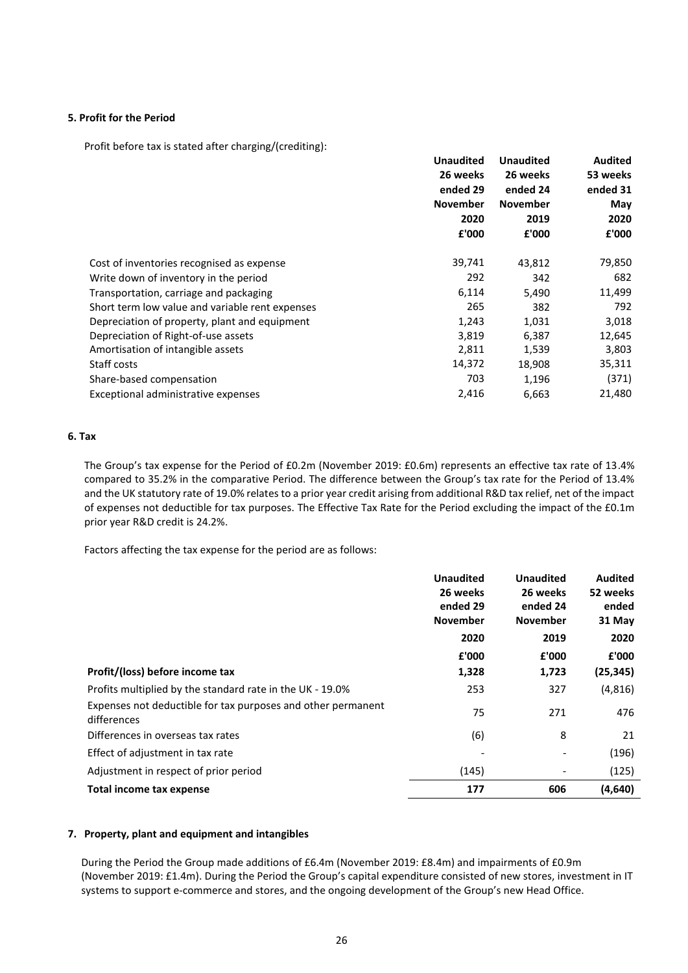## **5. Profit for the Period**

Profit before tax is stated after charging/(crediting):

| <b>Unaudited</b><br>26 weeks<br>ended 29<br><b>November</b><br>2020 | <b>Unaudited</b><br>26 weeks<br>ended 24<br><b>November</b><br>2019 | <b>Audited</b><br>53 weeks<br>ended 31<br>May<br>2020 |
|---------------------------------------------------------------------|---------------------------------------------------------------------|-------------------------------------------------------|
| £'000                                                               | £'000                                                               | £'000                                                 |
| 39,741                                                              | 43,812                                                              | 79,850                                                |
| 292                                                                 | 342                                                                 | 682                                                   |
| 6,114                                                               | 5,490                                                               | 11,499                                                |
| 265                                                                 | 382                                                                 | 792                                                   |
| 1,243                                                               | 1,031                                                               | 3,018                                                 |
| 3,819                                                               | 6,387                                                               | 12,645                                                |
| 2,811                                                               | 1,539                                                               | 3,803                                                 |
| 14,372                                                              | 18,908                                                              | 35,311                                                |
| 703                                                                 | 1,196                                                               | (371)                                                 |
| 2,416                                                               | 6,663                                                               | 21,480                                                |
|                                                                     |                                                                     |                                                       |

# **6. Tax**

The Group's tax expense for the Period of £0.2m (November 2019: £0.6m) represents an effective tax rate of 13.4% compared to 35.2% in the comparative Period. The difference between the Group's tax rate for the Period of 13.4% and the UK statutory rate of 19.0% relates to a prior year credit arising from additional R&D tax relief, net of the impact of expenses not deductible for tax purposes. The Effective Tax Rate for the Period excluding the impact of the £0.1m prior year R&D credit is 24.2%.

Factors affecting the tax expense for the period are as follows:

|                                                                             | <b>Unaudited</b><br>26 weeks<br>ended 29<br><b>November</b><br>2020 | <b>Unaudited</b><br>26 weeks<br>ended 24<br><b>November</b><br>2019 | <b>Audited</b><br>52 weeks<br>ended<br>31 May<br>2020 |
|-----------------------------------------------------------------------------|---------------------------------------------------------------------|---------------------------------------------------------------------|-------------------------------------------------------|
|                                                                             | £'000                                                               | £'000                                                               | £'000                                                 |
| Profit/(loss) before income tax                                             | 1,328                                                               | 1,723                                                               | (25, 345)                                             |
| Profits multiplied by the standard rate in the UK - 19.0%                   | 253                                                                 | 327                                                                 | (4,816)                                               |
| Expenses not deductible for tax purposes and other permanent<br>differences | 75                                                                  | 271                                                                 | 476                                                   |
| Differences in overseas tax rates                                           | (6)                                                                 | 8                                                                   | 21                                                    |
| Effect of adjustment in tax rate                                            |                                                                     |                                                                     | (196)                                                 |
| Adjustment in respect of prior period                                       | (145)                                                               | -                                                                   | (125)                                                 |
| Total income tax expense                                                    | 177                                                                 | 606                                                                 | (4,640)                                               |

# **7. Property, plant and equipment and intangibles**

During the Period the Group made additions of £6.4m (November 2019: £8.4m) and impairments of £0.9m (November 2019: £1.4m). During the Period the Group's capital expenditure consisted of new stores, investment in IT systems to support e-commerce and stores, and the ongoing development of the Group's new Head Office.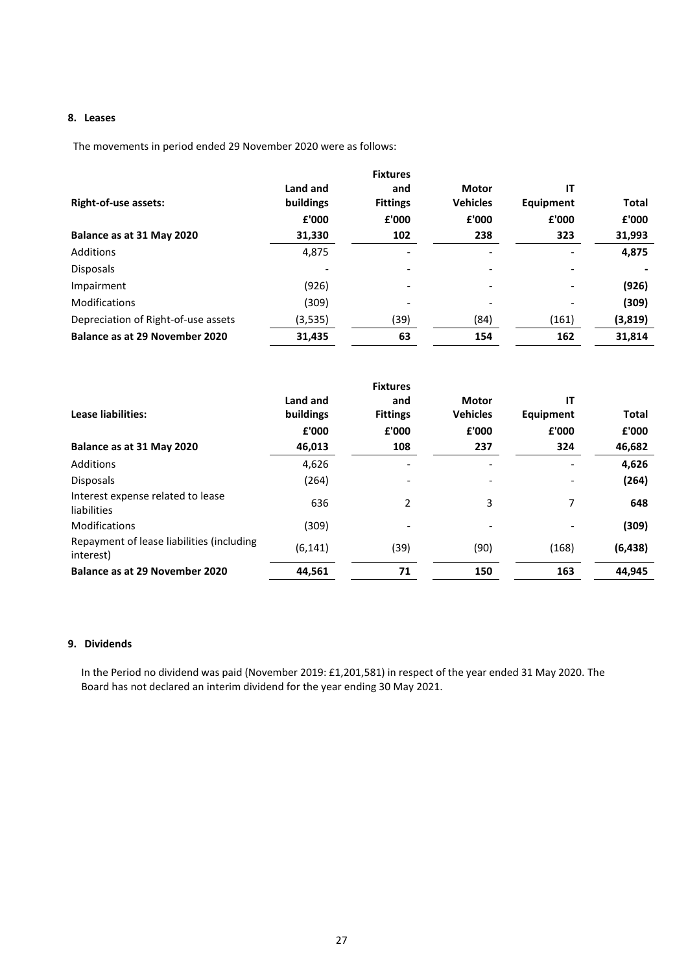# **8. Leases**

The movements in period ended 29 November 2020 were as follows:

|                                     | Land and  | <b>Fixtures</b><br>and   | <b>Motor</b>    | IT                       |              |
|-------------------------------------|-----------|--------------------------|-----------------|--------------------------|--------------|
| Right-of-use assets:                | buildings | <b>Fittings</b>          | <b>Vehicles</b> | Equipment                | <b>Total</b> |
|                                     | £'000     | £'000                    | £'000           | £'000                    | £'000        |
| Balance as at 31 May 2020           | 31,330    | 102                      | 238             | 323                      | 31,993       |
| Additions                           | 4,875     |                          |                 | $\overline{\phantom{a}}$ | 4,875        |
| <b>Disposals</b>                    |           | $\overline{\phantom{0}}$ |                 | $\qquad \qquad$          |              |
| Impairment                          | (926)     | $\overline{\phantom{a}}$ |                 | $\overline{\phantom{a}}$ | (926)        |
| <b>Modifications</b>                | (309)     |                          |                 | $\overline{\phantom{a}}$ | (309)        |
| Depreciation of Right-of-use assets | (3,535)   | (39)                     | (84)            | (161)                    | (3,819)      |
| Balance as at 29 November 2020      | 31,435    | 63                       | 154             | 162                      | 31,814       |

|                                                        |           | <b>Fixtures</b> |                 |           |              |
|--------------------------------------------------------|-----------|-----------------|-----------------|-----------|--------------|
|                                                        | Land and  | and             | <b>Motor</b>    | IT        |              |
| Lease liabilities:                                     | buildings | <b>Fittings</b> | <b>Vehicles</b> | Equipment | <b>Total</b> |
|                                                        | £'000     | £'000           | £'000           | £'000     | £'000        |
| Balance as at 31 May 2020                              | 46,013    | 108             | 237             | 324       | 46,682       |
| Additions                                              | 4,626     |                 |                 |           | 4,626        |
| <b>Disposals</b>                                       | (264)     |                 |                 |           | (264)        |
| Interest expense related to lease<br>liabilities       | 636       | 2               | 3               | 7         | 648          |
| <b>Modifications</b>                                   | (309)     |                 |                 |           | (309)        |
| Repayment of lease liabilities (including<br>interest) | (6, 141)  | (39)            | (90)            | (168)     | (6, 438)     |
| Balance as at 29 November 2020                         | 44,561    | 71              | 150             | 163       | 44,945       |
|                                                        |           |                 |                 |           |              |

# **9. Dividends**

In the Period no dividend was paid (November 2019: £1,201,581) in respect of the year ended 31 May 2020. The Board has not declared an interim dividend for the year ending 30 May 2021.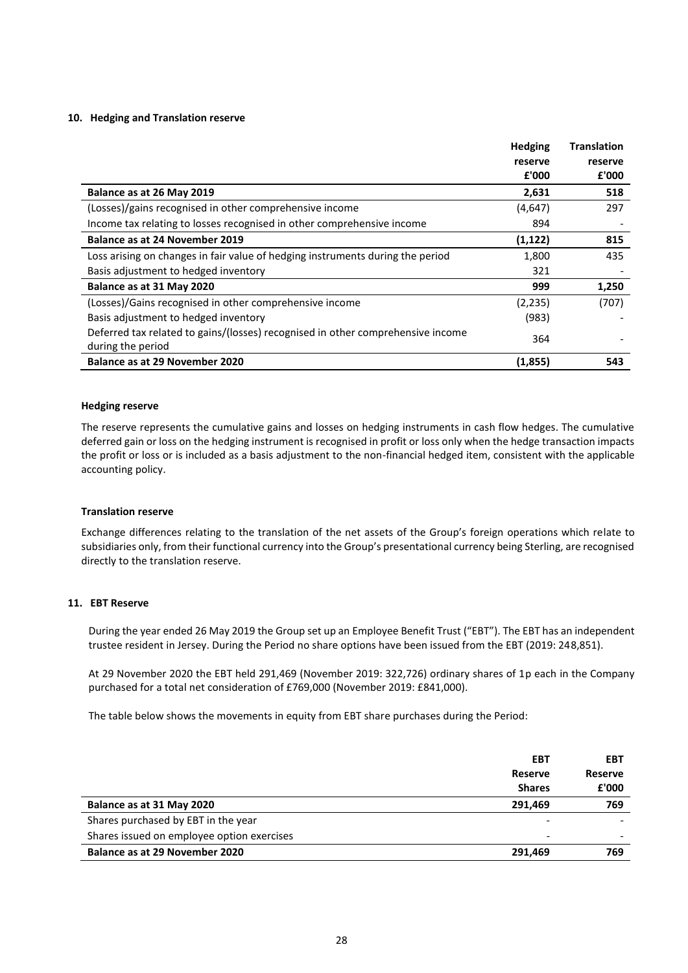#### **10. Hedging and Translation reserve**

|                                                                                 | <b>Hedging</b> | <b>Translation</b> |
|---------------------------------------------------------------------------------|----------------|--------------------|
|                                                                                 | reserve        | reserve            |
|                                                                                 | £'000          | £'000              |
| Balance as at 26 May 2019                                                       | 2,631          | 518                |
| (Losses)/gains recognised in other comprehensive income                         | (4,647)        | 297                |
| Income tax relating to losses recognised in other comprehensive income          | 894            |                    |
| Balance as at 24 November 2019                                                  | (1, 122)       | 815                |
| Loss arising on changes in fair value of hedging instruments during the period  | 1,800          | 435                |
| Basis adjustment to hedged inventory                                            | 321            |                    |
| Balance as at 31 May 2020                                                       | 999            | 1,250              |
| (Losses)/Gains recognised in other comprehensive income                         | (2, 235)       | (707)              |
| Basis adjustment to hedged inventory                                            | (983)          |                    |
| Deferred tax related to gains/(losses) recognised in other comprehensive income | 364            |                    |
| during the period                                                               |                |                    |
| <b>Balance as at 29 November 2020</b>                                           | (1,855)        | 543                |

#### **Hedging reserve**

The reserve represents the cumulative gains and losses on hedging instruments in cash flow hedges. The cumulative deferred gain or loss on the hedging instrument is recognised in profit or loss only when the hedge transaction impacts the profit or loss or is included as a basis adjustment to the non-financial hedged item, consistent with the applicable accounting policy.

#### **Translation reserve**

Exchange differences relating to the translation of the net assets of the Group's foreign operations which relate to subsidiaries only, from their functional currency into the Group's presentational currency being Sterling, are recognised directly to the translation reserve.

## **11. EBT Reserve**

During the year ended 26 May 2019 the Group set up an Employee Benefit Trust ("EBT"). The EBT has an independent trustee resident in Jersey. During the Period no share options have been issued from the EBT (2019: 248,851).

At 29 November 2020 the EBT held 291,469 (November 2019: 322,726) ordinary shares of 1p each in the Company purchased for a total net consideration of £769,000 (November 2019: £841,000).

The table below shows the movements in equity from EBT share purchases during the Period:

|                                            | EBT           | EBT     |
|--------------------------------------------|---------------|---------|
|                                            | Reserve       | Reserve |
|                                            | <b>Shares</b> | £'000   |
| Balance as at 31 May 2020                  | 291.469       | 769     |
| Shares purchased by EBT in the year        |               |         |
| Shares issued on employee option exercises |               |         |
| Balance as at 29 November 2020             | 291.469       | 769     |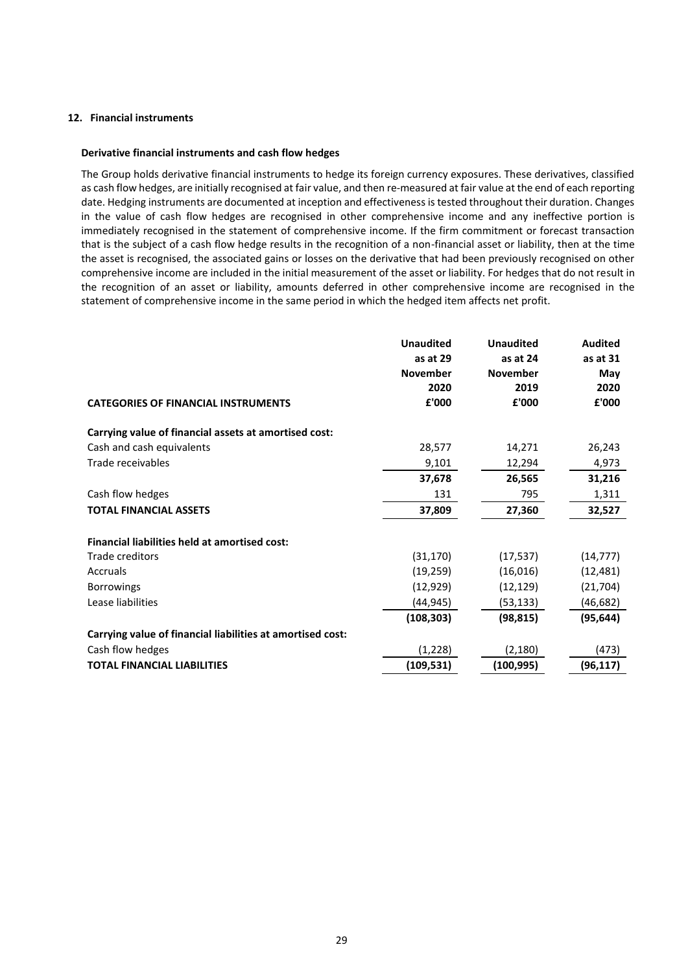## **12. Financial instruments**

#### **Derivative financial instruments and cash flow hedges**

The Group holds derivative financial instruments to hedge its foreign currency exposures. These derivatives, classified as cash flow hedges, are initially recognised at fair value, and then re-measured at fair value at the end of each reporting date. Hedging instruments are documented at inception and effectiveness is tested throughout their duration. Changes in the value of cash flow hedges are recognised in other comprehensive income and any ineffective portion is immediately recognised in the statement of comprehensive income. If the firm commitment or forecast transaction that is the subject of a cash flow hedge results in the recognition of a non-financial asset or liability, then at the time the asset is recognised, the associated gains or losses on the derivative that had been previously recognised on other comprehensive income are included in the initial measurement of the asset or liability. For hedges that do not result in the recognition of an asset or liability, amounts deferred in other comprehensive income are recognised in the statement of comprehensive income in the same period in which the hedged item affects net profit.

|                                                            | <b>Unaudited</b> | <b>Unaudited</b> | <b>Audited</b> |
|------------------------------------------------------------|------------------|------------------|----------------|
|                                                            | as at 29         | as at 24         | as at 31       |
|                                                            | <b>November</b>  | <b>November</b>  | May            |
|                                                            | 2020             | 2019             | 2020           |
| <b>CATEGORIES OF FINANCIAL INSTRUMENTS</b>                 | £'000            | £'000            | £'000          |
| Carrying value of financial assets at amortised cost:      |                  |                  |                |
| Cash and cash equivalents                                  | 28,577           | 14,271           | 26,243         |
| Trade receivables                                          | 9,101            | 12,294           | 4,973          |
|                                                            | 37,678           | 26,565           | 31,216         |
| Cash flow hedges                                           | 131              | 795              | 1,311          |
| <b>TOTAL FINANCIAL ASSETS</b>                              | 37,809           | 27,360           | 32,527         |
| <b>Financial liabilities held at amortised cost:</b>       |                  |                  |                |
| Trade creditors                                            | (31, 170)        | (17, 537)        | (14, 777)      |
| Accruals                                                   | (19, 259)        | (16,016)         | (12, 481)      |
| <b>Borrowings</b>                                          | (12, 929)        | (12, 129)        | (21, 704)      |
| Lease liabilities                                          | (44,945)         | (53, 133)        | (46,682)       |
|                                                            | (108, 303)       | (98, 815)        | (95, 644)      |
| Carrying value of financial liabilities at amortised cost: |                  |                  |                |
| Cash flow hedges                                           | (1, 228)         | (2, 180)         | (473)          |
| <b>TOTAL FINANCIAL LIABILITIES</b>                         | (109, 531)       | (100, 995)       | (96,117)       |